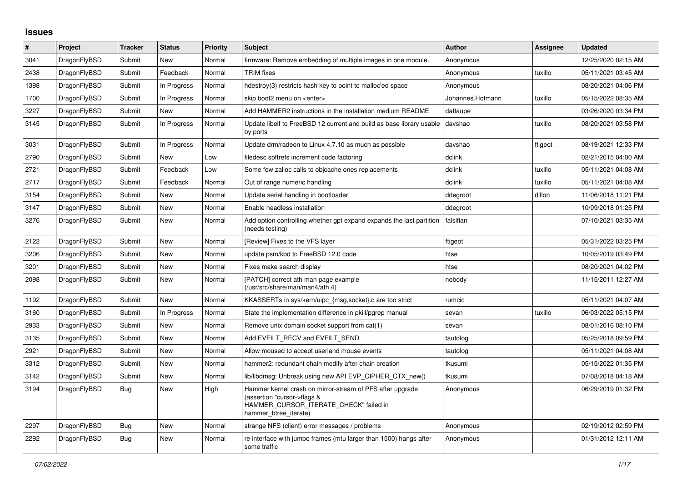## **Issues**

| #    | Project      | Tracker    | <b>Status</b> | Priority | <b>Subject</b>                                                                                                                                              | <b>Author</b>    | Assignee | Updated             |
|------|--------------|------------|---------------|----------|-------------------------------------------------------------------------------------------------------------------------------------------------------------|------------------|----------|---------------------|
| 3041 | DragonFlyBSD | Submit     | <b>New</b>    | Normal   | firmware: Remove embedding of multiple images in one module.                                                                                                | Anonymous        |          | 12/25/2020 02:15 AM |
| 2438 | DragonFlyBSD | Submit     | Feedback      | Normal   | <b>TRIM</b> fixes                                                                                                                                           | Anonymous        | tuxillo  | 05/11/2021 03:45 AM |
| 1398 | DragonFlyBSD | Submit     | In Progress   | Normal   | hdestroy(3) restricts hash key to point to malloc'ed space                                                                                                  | Anonymous        |          | 08/20/2021 04:06 PM |
| 1700 | DragonFlyBSD | Submit     | In Progress   | Normal   | skip boot2 menu on <enter></enter>                                                                                                                          | Johannes.Hofmann | tuxillo  | 05/15/2022 08:35 AM |
| 3227 | DragonFlyBSD | Submit     | New           | Normal   | Add HAMMER2 instructions in the installation medium README                                                                                                  | daftaupe         |          | 03/26/2020 03:34 PM |
| 3145 | DragonFlyBSD | Submit     | In Progress   | Normal   | Update libelf to FreeBSD 12 current and build as base library usable<br>by ports                                                                            | davshao          | tuxillo  | 08/20/2021 03:58 PM |
| 3031 | DragonFlyBSD | Submit     | In Progress   | Normal   | Update drm/radeon to Linux 4.7.10 as much as possible                                                                                                       | davshao          | ftigeot  | 08/19/2021 12:33 PM |
| 2790 | DragonFlyBSD | Submit     | New           | Low      | filedesc softrefs increment code factoring                                                                                                                  | dclink           |          | 02/21/2015 04:00 AM |
| 2721 | DragonFlyBSD | Submit     | Feedback      | Low      | Some few zalloc calls to objcache ones replacements                                                                                                         | dclink           | tuxillo  | 05/11/2021 04:08 AM |
| 2717 | DragonFlyBSD | Submit     | Feedback      | Normal   | Out of range numeric handling                                                                                                                               | dclink           | tuxillo  | 05/11/2021 04:08 AM |
| 3154 | DragonFlyBSD | Submit     | New           | Normal   | Update serial handling in bootloader                                                                                                                        | ddegroot         | dillon   | 11/06/2018 11:21 PM |
| 3147 | DragonFlyBSD | Submit     | New           | Normal   | Enable headless installation                                                                                                                                | ddegroot         |          | 10/09/2018 01:25 PM |
| 3276 | DragonFlyBSD | Submit     | New           | Normal   | Add option controlling whether gpt expand expands the last partition<br>(needs testing)                                                                     | falsifian        |          | 07/10/2021 03:35 AM |
| 2122 | DragonFlyBSD | Submit     | <b>New</b>    | Normal   | [Review] Fixes to the VFS layer                                                                                                                             | ftigeot          |          | 05/31/2022 03:25 PM |
| 3206 | DragonFlyBSD | Submit     | New           | Normal   | update psm/kbd to FreeBSD 12.0 code                                                                                                                         | htse             |          | 10/05/2019 03:49 PM |
| 3201 | DragonFlyBSD | Submit     | New           | Normal   | Fixes make search display                                                                                                                                   | htse             |          | 08/20/2021 04:02 PM |
| 2098 | DragonFlyBSD | Submit     | New           | Normal   | [PATCH] correct ath man page example<br>(/usr/src/share/man/man4/ath.4)                                                                                     | nobody           |          | 11/15/2011 12:27 AM |
| 1192 | DragonFlyBSD | Submit     | <b>New</b>    | Normal   | KKASSERTs in sys/kern/uipc_{msg,socket}.c are too strict                                                                                                    | rumcic           |          | 05/11/2021 04:07 AM |
| 3160 | DragonFlyBSD | Submit     | In Progress   | Normal   | State the implementation difference in pkill/pgrep manual                                                                                                   | sevan            | tuxillo  | 06/03/2022 05:15 PM |
| 2933 | DragonFlyBSD | Submit     | New           | Normal   | Remove unix domain socket support from cat(1)                                                                                                               | sevan            |          | 08/01/2016 08:10 PM |
| 3135 | DragonFlyBSD | Submit     | New           | Normal   | Add EVFILT_RECV and EVFILT_SEND                                                                                                                             | tautolog         |          | 05/25/2018 09:59 PM |
| 2921 | DragonFlyBSD | Submit     | <b>New</b>    | Normal   | Allow moused to accept userland mouse events                                                                                                                | tautolog         |          | 05/11/2021 04:08 AM |
| 3312 | DragonFlyBSD | Submit     | New           | Normal   | hammer2: redundant chain modify after chain creation                                                                                                        | tkusumi          |          | 05/15/2022 01:35 PM |
| 3142 | DragonFlyBSD | Submit     | New           | Normal   | lib/libdmsg: Unbreak using new API EVP CIPHER CTX new()                                                                                                     | tkusumi          |          | 07/08/2018 04:18 AM |
| 3194 | DragonFlyBSD | <b>Bug</b> | <b>New</b>    | High     | Hammer kernel crash on mirror-stream of PFS after upgrade<br>(assertion "cursor->flags &<br>HAMMER_CURSOR_ITERATE_CHECK" failed in<br>hammer_btree_iterate) | Anonymous        |          | 06/29/2019 01:32 PM |
| 2297 | DragonFlyBSD | Bug        | <b>New</b>    | Normal   | strange NFS (client) error messages / problems                                                                                                              | Anonymous        |          | 02/19/2012 02:59 PM |
| 2292 | DragonFlyBSD | Bug        | New           | Normal   | re interface with jumbo frames (mtu larger than 1500) hangs after<br>some traffic                                                                           | Anonymous        |          | 01/31/2012 12:11 AM |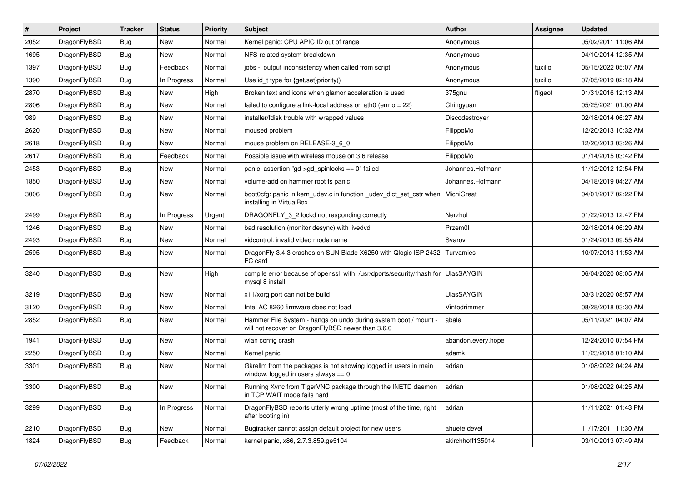| $\vert$ # | Project      | <b>Tracker</b> | <b>Status</b> | <b>Priority</b> | Subject                                                                                                              | <b>Author</b>      | <b>Assignee</b> | <b>Updated</b>      |
|-----------|--------------|----------------|---------------|-----------------|----------------------------------------------------------------------------------------------------------------------|--------------------|-----------------|---------------------|
| 2052      | DragonFlyBSD | <b>Bug</b>     | <b>New</b>    | Normal          | Kernel panic: CPU APIC ID out of range                                                                               | Anonymous          |                 | 05/02/2011 11:06 AM |
| 1695      | DragonFlyBSD | Bug            | <b>New</b>    | Normal          | NFS-related system breakdown                                                                                         | Anonymous          |                 | 04/10/2014 12:35 AM |
| 1397      | DragonFlyBSD | <b>Bug</b>     | Feedback      | Normal          | jobs -I output inconsistency when called from script                                                                 | Anonymous          | tuxillo         | 05/15/2022 05:07 AM |
| 1390      | DragonFlyBSD | Bug            | In Progress   | Normal          | Use id_t type for {get,set}priority()                                                                                | Anonymous          | tuxillo         | 07/05/2019 02:18 AM |
| 2870      | DragonFlyBSD | Bug            | <b>New</b>    | High            | Broken text and icons when glamor acceleration is used                                                               | 375gnu             | ftigeot         | 01/31/2016 12:13 AM |
| 2806      | DragonFlyBSD | <b>Bug</b>     | New           | Normal          | failed to configure a link-local address on ath0 (errno = 22)                                                        | Chingyuan          |                 | 05/25/2021 01:00 AM |
| 989       | DragonFlyBSD | Bug            | <b>New</b>    | Normal          | installer/fdisk trouble with wrapped values                                                                          | Discodestroyer     |                 | 02/18/2014 06:27 AM |
| 2620      | DragonFlyBSD | Bug            | <b>New</b>    | Normal          | moused problem                                                                                                       | FilippoMo          |                 | 12/20/2013 10:32 AM |
| 2618      | DragonFlyBSD | <b>Bug</b>     | <b>New</b>    | Normal          | mouse problem on RELEASE-3_6_0                                                                                       | FilippoMo          |                 | 12/20/2013 03:26 AM |
| 2617      | DragonFlyBSD | <b>Bug</b>     | Feedback      | Normal          | Possible issue with wireless mouse on 3.6 release                                                                    | FilippoMo          |                 | 01/14/2015 03:42 PM |
| 2453      | DragonFlyBSD | Bug            | <b>New</b>    | Normal          | panic: assertion "gd->gd_spinlocks == 0" failed                                                                      | Johannes.Hofmann   |                 | 11/12/2012 12:54 PM |
| 1850      | DragonFlyBSD | Bug            | New           | Normal          | volume-add on hammer root fs panic                                                                                   | Johannes.Hofmann   |                 | 04/18/2019 04:27 AM |
| 3006      | DragonFlyBSD | Bug            | New           | Normal          | boot0cfg: panic in kern_udev.c in function _udev_dict_set_cstr when<br>installing in VirtualBox                      | MichiGreat         |                 | 04/01/2017 02:22 PM |
| 2499      | DragonFlyBSD | <b>Bug</b>     | In Progress   | Urgent          | DRAGONFLY 3 2 lockd not responding correctly                                                                         | Nerzhul            |                 | 01/22/2013 12:47 PM |
| 1246      | DragonFlyBSD | <b>Bug</b>     | <b>New</b>    | Normal          | bad resolution (monitor desync) with livedvd                                                                         | Przem0l            |                 | 02/18/2014 06:29 AM |
| 2493      | DragonFlyBSD | Bug            | <b>New</b>    | Normal          | vidcontrol: invalid video mode name                                                                                  | Svarov             |                 | 01/24/2013 09:55 AM |
| 2595      | DragonFlyBSD | Bug            | <b>New</b>    | Normal          | DragonFly 3.4.3 crashes on SUN Blade X6250 with Qlogic ISP 2432<br>FC card                                           | Turvamies          |                 | 10/07/2013 11:53 AM |
| 3240      | DragonFlyBSD | <b>Bug</b>     | <b>New</b>    | High            | compile error because of openssl with /usr/dports/security/rhash for UlasSAYGIN<br>mysql 8 install                   |                    |                 | 06/04/2020 08:05 AM |
| 3219      | DragonFlyBSD | <b>Bug</b>     | <b>New</b>    | Normal          | x11/xorg port can not be build                                                                                       | <b>UlasSAYGIN</b>  |                 | 03/31/2020 08:57 AM |
| 3120      | DragonFlyBSD | <b>Bug</b>     | <b>New</b>    | Normal          | Intel AC 8260 firmware does not load                                                                                 | Vintodrimmer       |                 | 08/28/2018 03:30 AM |
| 2852      | DragonFlyBSD | Bug            | New           | Normal          | Hammer File System - hangs on undo during system boot / mount -<br>will not recover on DragonFlyBSD newer than 3.6.0 | abale              |                 | 05/11/2021 04:07 AM |
| 1941      | DragonFlyBSD | <b>Bug</b>     | <b>New</b>    | Normal          | wlan config crash                                                                                                    | abandon.every.hope |                 | 12/24/2010 07:54 PM |
| 2250      | DragonFlyBSD | Bug            | <b>New</b>    | Normal          | Kernel panic                                                                                                         | adamk              |                 | 11/23/2018 01:10 AM |
| 3301      | DragonFlyBSD | Bug            | New           | Normal          | Gkrellm from the packages is not showing logged in users in main<br>window, logged in users always $== 0$            | adrian             |                 | 01/08/2022 04:24 AM |
| 3300      | DragonFlyBSD | Bug            | New           | Normal          | Running Xvnc from TigerVNC package through the INETD daemon<br>in TCP WAIT mode fails hard                           | adrian             |                 | 01/08/2022 04:25 AM |
| 3299      | DragonFlyBSD | Bug            | In Progress   | Normal          | DragonFlyBSD reports utterly wrong uptime (most of the time, right<br>after booting in)                              | adrian             |                 | 11/11/2021 01:43 PM |
| 2210      | DragonFlyBSD | <b>Bug</b>     | New           | Normal          | Bugtracker cannot assign default project for new users                                                               | ahuete.devel       |                 | 11/17/2011 11:30 AM |
| 1824      | DragonFlyBSD | <b>Bug</b>     | Feedback      | Normal          | kernel panic, x86, 2.7.3.859.ge5104                                                                                  | akirchhoff135014   |                 | 03/10/2013 07:49 AM |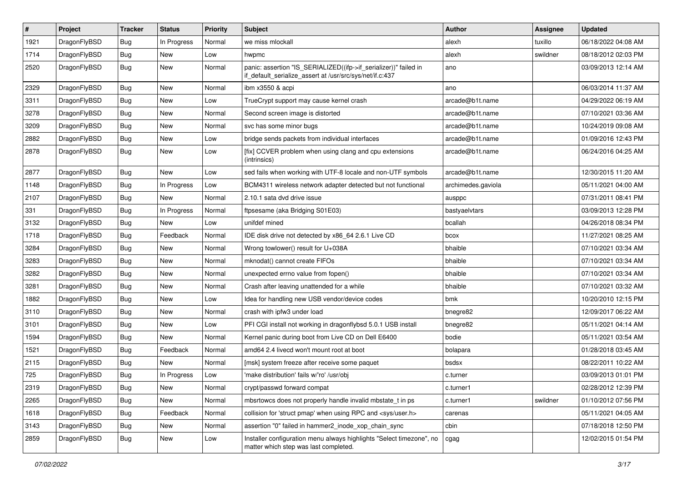| $\sharp$ | Project      | <b>Tracker</b> | <b>Status</b> | <b>Priority</b> | Subject                                                                                                                      | <b>Author</b>      | Assignee | <b>Updated</b>      |
|----------|--------------|----------------|---------------|-----------------|------------------------------------------------------------------------------------------------------------------------------|--------------------|----------|---------------------|
| 1921     | DragonFlyBSD | <b>Bug</b>     | In Progress   | Normal          | we miss mlockall                                                                                                             | alexh              | tuxillo  | 06/18/2022 04:08 AM |
| 1714     | DragonFlyBSD | <b>Bug</b>     | New           | Low             | hwpmc                                                                                                                        | alexh              | swildner | 08/18/2012 02:03 PM |
| 2520     | DragonFlyBSD | <b>Bug</b>     | New           | Normal          | panic: assertion "IS_SERIALIZED((ifp->if_serializer))" failed in<br>if_default_serialize_assert at /usr/src/sys/net/if.c:437 | ano                |          | 03/09/2013 12:14 AM |
| 2329     | DragonFlyBSD | Bug            | <b>New</b>    | Normal          | ibm x3550 & acpi                                                                                                             | ano                |          | 06/03/2014 11:37 AM |
| 3311     | DragonFlyBSD | Bug            | New           | Low             | TrueCrypt support may cause kernel crash                                                                                     | arcade@b1t.name    |          | 04/29/2022 06:19 AM |
| 3278     | DragonFlyBSD | Bug            | New           | Normal          | Second screen image is distorted                                                                                             | arcade@b1t.name    |          | 07/10/2021 03:36 AM |
| 3209     | DragonFlyBSD | Bug            | New           | Normal          | svc has some minor bugs                                                                                                      | arcade@b1t.name    |          | 10/24/2019 09:08 AM |
| 2882     | DragonFlyBSD | Bug            | New           | Low             | bridge sends packets from individual interfaces                                                                              | arcade@b1t.name    |          | 01/09/2016 12:43 PM |
| 2878     | DragonFlyBSD | Bug            | New           | Low             | [fix] CCVER problem when using clang and cpu extensions<br>(intrinsics)                                                      | arcade@b1t.name    |          | 06/24/2016 04:25 AM |
| 2877     | DragonFlyBSD | Bug            | <b>New</b>    | Low             | sed fails when working with UTF-8 locale and non-UTF symbols                                                                 | arcade@b1t.name    |          | 12/30/2015 11:20 AM |
| 1148     | DragonFlyBSD | Bug            | In Progress   | Low             | BCM4311 wireless network adapter detected but not functional                                                                 | archimedes.gaviola |          | 05/11/2021 04:00 AM |
| 2107     | DragonFlyBSD | Bug            | New           | Normal          | 2.10.1 sata dvd drive issue                                                                                                  | ausppc             |          | 07/31/2011 08:41 PM |
| 331      | DragonFlyBSD | Bug            | In Progress   | Normal          | ftpsesame (aka Bridging S01E03)                                                                                              | bastyaelvtars      |          | 03/09/2013 12:28 PM |
| 3132     | DragonFlyBSD | Bug            | New           | Low             | unifdef mined                                                                                                                | bcallah            |          | 04/26/2018 08:34 PM |
| 1718     | DragonFlyBSD | Bug            | Feedback      | Normal          | IDE disk drive not detected by x86_64 2.6.1 Live CD                                                                          | bcox               |          | 11/27/2021 08:25 AM |
| 3284     | DragonFlyBSD | Bug            | <b>New</b>    | Normal          | Wrong towlower() result for U+038A                                                                                           | bhaible            |          | 07/10/2021 03:34 AM |
| 3283     | DragonFlyBSD | Bug            | New           | Normal          | mknodat() cannot create FIFOs                                                                                                | bhaible            |          | 07/10/2021 03:34 AM |
| 3282     | DragonFlyBSD | Bug            | <b>New</b>    | Normal          | unexpected errno value from fopen()                                                                                          | bhaible            |          | 07/10/2021 03:34 AM |
| 3281     | DragonFlyBSD | Bug            | New           | Normal          | Crash after leaving unattended for a while                                                                                   | bhaible            |          | 07/10/2021 03:32 AM |
| 1882     | DragonFlyBSD | Bug            | New           | Low             | Idea for handling new USB vendor/device codes                                                                                | bmk                |          | 10/20/2010 12:15 PM |
| 3110     | DragonFlyBSD | Bug            | <b>New</b>    | Normal          | crash with ipfw3 under load                                                                                                  | bnegre82           |          | 12/09/2017 06:22 AM |
| 3101     | DragonFlyBSD | Bug            | New           | Low             | PFI CGI install not working in dragonflybsd 5.0.1 USB install                                                                | bnegre82           |          | 05/11/2021 04:14 AM |
| 1594     | DragonFlyBSD | Bug            | New           | Normal          | Kernel panic during boot from Live CD on Dell E6400                                                                          | bodie              |          | 05/11/2021 03:54 AM |
| 1521     | DragonFlyBSD | Bug            | Feedback      | Normal          | amd64 2.4 livecd won't mount root at boot                                                                                    | bolapara           |          | 01/28/2018 03:45 AM |
| 2115     | DragonFlyBSD | Bug            | <b>New</b>    | Normal          | [msk] system freeze after receive some paquet                                                                                | bsdsx              |          | 08/22/2011 10:22 AM |
| 725      | DragonFlyBSD | Bug            | In Progress   | Low             | 'make distribution' fails w/'ro' /usr/obj                                                                                    | c.turner           |          | 03/09/2013 01:01 PM |
| 2319     | DragonFlyBSD | <b>Bug</b>     | New           | Normal          | crypt/passwd forward compat                                                                                                  | c.turner1          |          | 02/28/2012 12:39 PM |
| 2265     | DragonFlyBSD | <b>Bug</b>     | New           | Normal          | mbsrtowcs does not properly handle invalid mbstate_t in ps                                                                   | c.turner1          | swildner | 01/10/2012 07:56 PM |
| 1618     | DragonFlyBSD | <b>Bug</b>     | Feedback      | Normal          | collision for 'struct pmap' when using RPC and <sys user.h=""></sys>                                                         | carenas            |          | 05/11/2021 04:05 AM |
| 3143     | DragonFlyBSD | <b>Bug</b>     | New           | Normal          | assertion "0" failed in hammer2_inode_xop_chain_sync                                                                         | cbin               |          | 07/18/2018 12:50 PM |
| 2859     | DragonFlyBSD | <b>Bug</b>     | New           | Low             | Installer configuration menu always highlights "Select timezone", no<br>matter which step was last completed.                | cgag               |          | 12/02/2015 01:54 PM |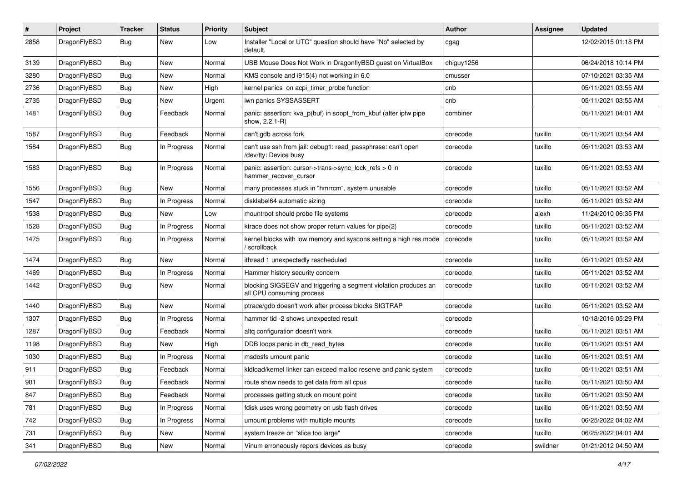| $\#$ | Project      | <b>Tracker</b> | <b>Status</b> | <b>Priority</b> | <b>Subject</b>                                                                               | Author     | Assignee | <b>Updated</b>      |
|------|--------------|----------------|---------------|-----------------|----------------------------------------------------------------------------------------------|------------|----------|---------------------|
| 2858 | DragonFlyBSD | Bug            | <b>New</b>    | Low             | Installer "Local or UTC" question should have "No" selected by<br>default.                   | cgag       |          | 12/02/2015 01:18 PM |
| 3139 | DragonFlyBSD | <b>Bug</b>     | New           | Normal          | USB Mouse Does Not Work in DragonflyBSD guest on VirtualBox                                  | chiguy1256 |          | 06/24/2018 10:14 PM |
| 3280 | DragonFlyBSD | <b>Bug</b>     | New           | Normal          | KMS console and i915(4) not working in 6.0                                                   | cmusser    |          | 07/10/2021 03:35 AM |
| 2736 | DragonFlyBSD | <b>Bug</b>     | <b>New</b>    | High            | kernel panics on acpi_timer_probe function                                                   | cnb        |          | 05/11/2021 03:55 AM |
| 2735 | DragonFlyBSD | <b>Bug</b>     | New           | Urgent          | iwn panics SYSSASSERT                                                                        | cnb        |          | 05/11/2021 03:55 AM |
| 1481 | DragonFlyBSD | <b>Bug</b>     | Feedback      | Normal          | panic: assertion: kva_p(buf) in soopt_from_kbuf (after ipfw pipe<br>show, 2.2.1-R)           | combiner   |          | 05/11/2021 04:01 AM |
| 1587 | DragonFlyBSD | Bug            | Feedback      | Normal          | can't gdb across fork                                                                        | corecode   | tuxillo  | 05/11/2021 03:54 AM |
| 1584 | DragonFlyBSD | Bug            | In Progress   | Normal          | can't use ssh from jail: debug1: read_passphrase: can't open<br>/dev/tty: Device busy        | corecode   | tuxillo  | 05/11/2021 03:53 AM |
| 1583 | DragonFlyBSD | Bug            | In Progress   | Normal          | panic: assertion: cursor->trans->sync_lock_refs > 0 in<br>hammer_recover_cursor              | corecode   | tuxillo  | 05/11/2021 03:53 AM |
| 1556 | DragonFlyBSD | <b>Bug</b>     | <b>New</b>    | Normal          | many processes stuck in "hmrrcm", system unusable                                            | corecode   | tuxillo  | 05/11/2021 03:52 AM |
| 1547 | DragonFlyBSD | Bug            | In Progress   | Normal          | disklabel64 automatic sizing                                                                 | corecode   | tuxillo  | 05/11/2021 03:52 AM |
| 1538 | DragonFlyBSD | <b>Bug</b>     | New           | Low             | mountroot should probe file systems                                                          | corecode   | alexh    | 11/24/2010 06:35 PM |
| 1528 | DragonFlyBSD | <b>Bug</b>     | In Progress   | Normal          | ktrace does not show proper return values for pipe(2)                                        | corecode   | tuxillo  | 05/11/2021 03:52 AM |
| 1475 | DragonFlyBSD | <b>Bug</b>     | In Progress   | Normal          | kernel blocks with low memory and syscons setting a high res mode<br>scrollback              | corecode   | tuxillo  | 05/11/2021 03:52 AM |
| 1474 | DragonFlyBSD | <b>Bug</b>     | New           | Normal          | ithread 1 unexpectedly rescheduled                                                           | corecode   | tuxillo  | 05/11/2021 03:52 AM |
| 1469 | DragonFlyBSD | <b>Bug</b>     | In Progress   | Normal          | Hammer history security concern                                                              | corecode   | tuxillo  | 05/11/2021 03:52 AM |
| 1442 | DragonFlyBSD | Bug            | New           | Normal          | blocking SIGSEGV and triggering a segment violation produces an<br>all CPU consuming process | corecode   | tuxillo  | 05/11/2021 03:52 AM |
| 1440 | DragonFlyBSD | Bug            | New           | Normal          | ptrace/gdb doesn't work after process blocks SIGTRAP                                         | corecode   | tuxillo  | 05/11/2021 03:52 AM |
| 1307 | DragonFlyBSD | <b>Bug</b>     | In Progress   | Normal          | hammer tid -2 shows unexpected result                                                        | corecode   |          | 10/18/2016 05:29 PM |
| 1287 | DragonFlyBSD | <b>Bug</b>     | Feedback      | Normal          | altq configuration doesn't work                                                              | corecode   | tuxillo  | 05/11/2021 03:51 AM |
| 1198 | DragonFlyBSD | <b>Bug</b>     | New           | High            | DDB loops panic in db read bytes                                                             | corecode   | tuxillo  | 05/11/2021 03:51 AM |
| 1030 | DragonFlyBSD | Bug            | In Progress   | Normal          | msdosfs umount panic                                                                         | corecode   | tuxillo  | 05/11/2021 03:51 AM |
| 911  | DragonFlyBSD | Bug            | Feedback      | Normal          | kldload/kernel linker can exceed malloc reserve and panic system                             | corecode   | tuxillo  | 05/11/2021 03:51 AM |
| 901  | DragonFlvBSD | Bug            | Feedback      | Normal          | route show needs to get data from all cpus                                                   | corecode   | tuxillo  | 05/11/2021 03:50 AM |
| 847  | DragonFlyBSD | Bug            | Feedback      | Normal          | processes getting stuck on mount point                                                       | corecode   | tuxillo  | 05/11/2021 03:50 AM |
| 781  | DragonFlyBSD | Bug            | In Progress   | Normal          | fdisk uses wrong geometry on usb flash drives                                                | corecode   | tuxillo  | 05/11/2021 03:50 AM |
| 742  | DragonFlyBSD | <b>Bug</b>     | In Progress   | Normal          | umount problems with multiple mounts                                                         | corecode   | tuxillo  | 06/25/2022 04:02 AM |
| 731  | DragonFlyBSD | <b>Bug</b>     | New           | Normal          | system freeze on "slice too large"                                                           | corecode   | tuxillo  | 06/25/2022 04:01 AM |
| 341  | DragonFlyBSD | <b>Bug</b>     | New           | Normal          | Vinum erroneously repors devices as busy                                                     | corecode   | swildner | 01/21/2012 04:50 AM |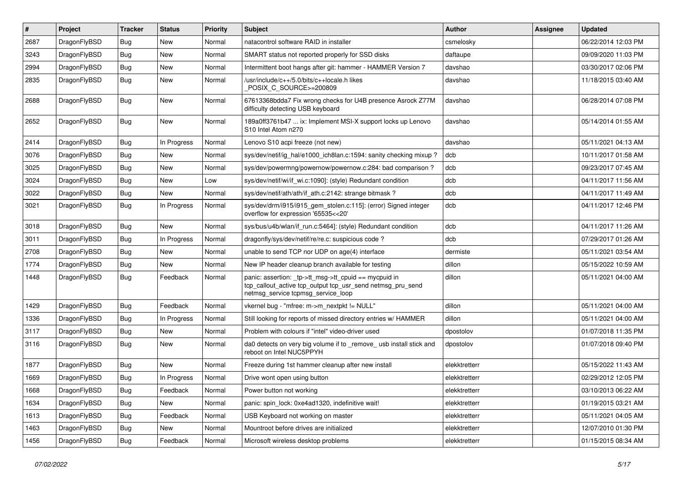| $\vert$ # | Project      | <b>Tracker</b> | <b>Status</b> | <b>Priority</b> | <b>Subject</b>                                                                                                                                            | <b>Author</b> | Assignee | <b>Updated</b>      |
|-----------|--------------|----------------|---------------|-----------------|-----------------------------------------------------------------------------------------------------------------------------------------------------------|---------------|----------|---------------------|
| 2687      | DragonFlyBSD | Bug            | <b>New</b>    | Normal          | natacontrol software RAID in installer                                                                                                                    | csmelosky     |          | 06/22/2014 12:03 PM |
| 3243      | DragonFlyBSD | <b>Bug</b>     | <b>New</b>    | Normal          | SMART status not reported properly for SSD disks                                                                                                          | daftaupe      |          | 09/09/2020 11:03 PM |
| 2994      | DragonFlyBSD | Bug            | <b>New</b>    | Normal          | Intermittent boot hangs after git: hammer - HAMMER Version 7                                                                                              | davshao       |          | 03/30/2017 02:06 PM |
| 2835      | DragonFlyBSD | Bug            | <b>New</b>    | Normal          | /usr/include/c++/5.0/bits/c++locale.h likes<br>POSIX C_SOURCE>=200809                                                                                     | davshao       |          | 11/18/2015 03:40 AM |
| 2688      | DragonFlyBSD | <b>Bug</b>     | New           | Normal          | 67613368bdda7 Fix wrong checks for U4B presence Asrock Z77M<br>difficulty detecting USB keyboard                                                          | davshao       |          | 06/28/2014 07:08 PM |
| 2652      | DragonFlyBSD | Bug            | New           | Normal          | 189a0ff3761b47  ix: Implement MSI-X support locks up Lenovo<br>S10 Intel Atom n270                                                                        | davshao       |          | 05/14/2014 01:55 AM |
| 2414      | DragonFlyBSD | Bug            | In Progress   | Normal          | Lenovo S10 acpi freeze (not new)                                                                                                                          | davshao       |          | 05/11/2021 04:13 AM |
| 3076      | DragonFlyBSD | <b>Bug</b>     | New           | Normal          | sys/dev/netif/ig hal/e1000 ich8lan.c:1594: sanity checking mixup?                                                                                         | dcb           |          | 10/11/2017 01:58 AM |
| 3025      | DragonFlyBSD | Bug            | <b>New</b>    | Normal          | sys/dev/powermng/powernow/powernow.c:284: bad comparison?                                                                                                 | dcb           |          | 09/23/2017 07:45 AM |
| 3024      | DragonFlyBSD | Bug            | <b>New</b>    | Low             | sys/dev/netif/wi/if_wi.c:1090]: (style) Redundant condition                                                                                               | dcb           |          | 04/11/2017 11:56 AM |
| 3022      | DragonFlyBSD | <b>Bug</b>     | New           | Normal          | sys/dev/netif/ath/ath/if ath.c:2142: strange bitmask?                                                                                                     | dcb           |          | 04/11/2017 11:49 AM |
| 3021      | DragonFlyBSD | Bug            | In Progress   | Normal          | sys/dev/drm/i915/i915_gem_stolen.c:115]: (error) Signed integer<br>overflow for expression '65535<<20'                                                    | dcb           |          | 04/11/2017 12:46 PM |
| 3018      | DragonFlyBSD | <b>Bug</b>     | New           | Normal          | sys/bus/u4b/wlan/if_run.c:5464]: (style) Redundant condition                                                                                              | dcb           |          | 04/11/2017 11:26 AM |
| 3011      | DragonFlyBSD | <b>Bug</b>     | In Progress   | Normal          | dragonfly/sys/dev/netif/re/re.c: suspicious code?                                                                                                         | dcb           |          | 07/29/2017 01:26 AM |
| 2708      | DragonFlyBSD | <b>Bug</b>     | New           | Normal          | unable to send TCP nor UDP on age(4) interface                                                                                                            | dermiste      |          | 05/11/2021 03:54 AM |
| 1774      | DragonFlyBSD | Bug            | <b>New</b>    | Normal          | New IP header cleanup branch available for testing                                                                                                        | dillon        |          | 05/15/2022 10:59 AM |
| 1448      | DragonFlyBSD | Bug            | Feedback      | Normal          | panic: assertion: _tp->tt_msg->tt_cpuid == mycpuid in<br>tcp_callout_active tcp_output tcp_usr_send netmsg_pru_send<br>netmsg_service tcpmsg_service_loop | dillon        |          | 05/11/2021 04:00 AM |
| 1429      | DragonFlyBSD | <b>Bug</b>     | Feedback      | Normal          | vkernel bug - "mfree: m->m_nextpkt != NULL"                                                                                                               | dillon        |          | 05/11/2021 04:00 AM |
| 1336      | DragonFlyBSD | Bug            | In Progress   | Normal          | Still looking for reports of missed directory entries w/ HAMMER                                                                                           | dillon        |          | 05/11/2021 04:00 AM |
| 3117      | DragonFlyBSD | Bug            | <b>New</b>    | Normal          | Problem with colours if "intel" video-driver used                                                                                                         | dpostolov     |          | 01/07/2018 11:35 PM |
| 3116      | DragonFlyBSD | Bug            | <b>New</b>    | Normal          | da0 detects on very big volume if to _remove_ usb install stick and<br>reboot on Intel NUC5PPYH                                                           | dpostolov     |          | 01/07/2018 09:40 PM |
| 1877      | DragonFlyBSD | <b>Bug</b>     | <b>New</b>    | Normal          | Freeze during 1st hammer cleanup after new install                                                                                                        | elekktretterr |          | 05/15/2022 11:43 AM |
| 1669      | DragonFlyBSD | Bug            | In Progress   | Normal          | Drive wont open using button                                                                                                                              | elekktretterr |          | 02/29/2012 12:05 PM |
| 1668      | DragonFlyBSD | <b>Bug</b>     | Feedback      | Normal          | Power button not working                                                                                                                                  | elekktretterr |          | 03/10/2013 06:22 AM |
| 1634      | DragonFlyBSD | <b>Bug</b>     | New           | Normal          | panic: spin_lock: 0xe4ad1320, indefinitive wait!                                                                                                          | elekktretterr |          | 01/19/2015 03:21 AM |
| 1613      | DragonFlyBSD | <b>Bug</b>     | Feedback      | Normal          | USB Keyboard not working on master                                                                                                                        | elekktretterr |          | 05/11/2021 04:05 AM |
| 1463      | DragonFlyBSD | <b>Bug</b>     | New           | Normal          | Mountroot before drives are initialized                                                                                                                   | elekktretterr |          | 12/07/2010 01:30 PM |
| 1456      | DragonFlyBSD | Bug            | Feedback      | Normal          | Microsoft wireless desktop problems                                                                                                                       | elekktretterr |          | 01/15/2015 08:34 AM |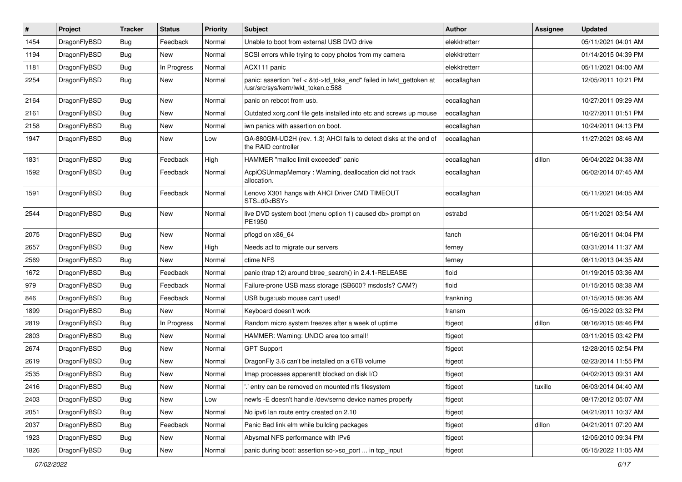| $\vert$ # | Project      | <b>Tracker</b> | <b>Status</b> | <b>Priority</b> | <b>Subject</b>                                                                                             | <b>Author</b> | Assignee | <b>Updated</b>      |
|-----------|--------------|----------------|---------------|-----------------|------------------------------------------------------------------------------------------------------------|---------------|----------|---------------------|
| 1454      | DragonFlyBSD | <b>Bug</b>     | Feedback      | Normal          | Unable to boot from external USB DVD drive                                                                 | elekktretterr |          | 05/11/2021 04:01 AM |
| 1194      | DragonFlyBSD | <b>Bug</b>     | New           | Normal          | SCSI errors while trying to copy photos from my camera                                                     | elekktretterr |          | 01/14/2015 04:39 PM |
| 1181      | DragonFlyBSD | <b>Bug</b>     | In Progress   | Normal          | ACX111 panic                                                                                               | elekktretterr |          | 05/11/2021 04:00 AM |
| 2254      | DragonFlyBSD | <b>Bug</b>     | New           | Normal          | panic: assertion "ref < &td->td_toks_end" failed in lwkt_gettoken at<br>/usr/src/sys/kern/lwkt_token.c:588 | eocallaghan   |          | 12/05/2011 10:21 PM |
| 2164      | DragonFlyBSD | <b>Bug</b>     | <b>New</b>    | Normal          | panic on reboot from usb.                                                                                  | eocallaghan   |          | 10/27/2011 09:29 AM |
| 2161      | DragonFlyBSD | Bug            | <b>New</b>    | Normal          | Outdated xorg.conf file gets installed into etc and screws up mouse                                        | eocallaghan   |          | 10/27/2011 01:51 PM |
| 2158      | DragonFlyBSD | <b>Bug</b>     | <b>New</b>    | Normal          | iwn panics with assertion on boot.                                                                         | eocallaghan   |          | 10/24/2011 04:13 PM |
| 1947      | DragonFlyBSD | Bug            | <b>New</b>    | Low             | GA-880GM-UD2H (rev. 1.3) AHCI fails to detect disks at the end of<br>the RAID controller                   | eocallaghan   |          | 11/27/2021 08:46 AM |
| 1831      | DragonFlyBSD | <b>Bug</b>     | Feedback      | High            | HAMMER "malloc limit exceeded" panic                                                                       | eocallaghan   | dillon   | 06/04/2022 04:38 AM |
| 1592      | DragonFlyBSD | <b>Bug</b>     | Feedback      | Normal          | AcpiOSUnmapMemory: Warning, deallocation did not track<br>allocation.                                      | eocallaghan   |          | 06/02/2014 07:45 AM |
| 1591      | DragonFlyBSD | <b>Bug</b>     | Feedback      | Normal          | Lenovo X301 hangs with AHCI Driver CMD TIMEOUT<br>STS=d0 <bsy></bsy>                                       | eocallaghan   |          | 05/11/2021 04:05 AM |
| 2544      | DragonFlyBSD | <b>Bug</b>     | New           | Normal          | live DVD system boot (menu option 1) caused db> prompt on<br>PE1950                                        | estrabd       |          | 05/11/2021 03:54 AM |
| 2075      | DragonFlyBSD | Bug            | <b>New</b>    | Normal          | pflogd on x86 64                                                                                           | fanch         |          | 05/16/2011 04:04 PM |
| 2657      | DragonFlyBSD | <b>Bug</b>     | <b>New</b>    | High            | Needs acl to migrate our servers                                                                           | ferney        |          | 03/31/2014 11:37 AM |
| 2569      | DragonFlyBSD | Bug            | <b>New</b>    | Normal          | ctime NFS                                                                                                  | ferney        |          | 08/11/2013 04:35 AM |
| 1672      | DragonFlyBSD | <b>Bug</b>     | Feedback      | Normal          | panic (trap 12) around btree_search() in 2.4.1-RELEASE                                                     | floid         |          | 01/19/2015 03:36 AM |
| 979       | DragonFlyBSD | <b>Bug</b>     | Feedback      | Normal          | Failure-prone USB mass storage (SB600? msdosfs? CAM?)                                                      | floid         |          | 01/15/2015 08:38 AM |
| 846       | DragonFlyBSD | Bug            | Feedback      | Normal          | USB bugs:usb mouse can't used!                                                                             | frankning     |          | 01/15/2015 08:36 AM |
| 1899      | DragonFlyBSD | <b>Bug</b>     | New           | Normal          | Keyboard doesn't work                                                                                      | fransm        |          | 05/15/2022 03:32 PM |
| 2819      | DragonFlyBSD | <b>Bug</b>     | In Progress   | Normal          | Random micro system freezes after a week of uptime                                                         | ftigeot       | dillon   | 08/16/2015 08:46 PM |
| 2803      | DragonFlyBSD | Bug            | <b>New</b>    | Normal          | HAMMER: Warning: UNDO area too small!                                                                      | ftigeot       |          | 03/11/2015 03:42 PM |
| 2674      | DragonFlyBSD | <b>Bug</b>     | <b>New</b>    | Normal          | <b>GPT Support</b>                                                                                         | ftigeot       |          | 12/28/2015 02:54 PM |
| 2619      | DragonFlyBSD | Bug            | <b>New</b>    | Normal          | DragonFly 3.6 can't be installed on a 6TB volume                                                           | ftigeot       |          | 02/23/2014 11:55 PM |
| 2535      | DragonFlyBSD | <b>Bug</b>     | <b>New</b>    | Normal          | Imap processes apparentlt blocked on disk I/O                                                              | ftigeot       |          | 04/02/2013 09:31 AM |
| 2416      | DragonFlyBSD | <b>Bug</b>     | New           | Normal          | ".' entry can be removed on mounted nfs filesystem                                                         | ftigeot       | tuxillo  | 06/03/2014 04:40 AM |
| 2403      | DragonFlyBSD | Bug            | New           | Low             | newfs -E doesn't handle /dev/serno device names properly                                                   | ftigeot       |          | 08/17/2012 05:07 AM |
| 2051      | DragonFlyBSD | <b>Bug</b>     | New           | Normal          | No ipv6 lan route entry created on 2.10                                                                    | ftigeot       |          | 04/21/2011 10:37 AM |
| 2037      | DragonFlyBSD | <b>Bug</b>     | Feedback      | Normal          | Panic Bad link elm while building packages                                                                 | ftigeot       | dillon   | 04/21/2011 07:20 AM |
| 1923      | DragonFlyBSD | <b>Bug</b>     | New           | Normal          | Abysmal NFS performance with IPv6                                                                          | ftigeot       |          | 12/05/2010 09:34 PM |
| 1826      | DragonFlyBSD | Bug            | New           | Normal          | panic during boot: assertion so->so_port  in tcp_input                                                     | ftigeot       |          | 05/15/2022 11:05 AM |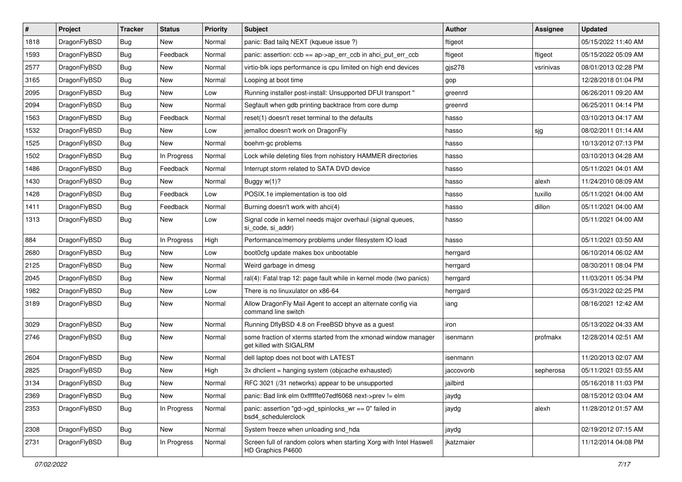| $\sharp$ | Project      | <b>Tracker</b> | <b>Status</b> | <b>Priority</b> | Subject                                                                                   | <b>Author</b> | Assignee  | <b>Updated</b>      |
|----------|--------------|----------------|---------------|-----------------|-------------------------------------------------------------------------------------------|---------------|-----------|---------------------|
| 1818     | DragonFlyBSD | Bug            | New           | Normal          | panic: Bad tailq NEXT (kqueue issue ?)                                                    | ftigeot       |           | 05/15/2022 11:40 AM |
| 1593     | DragonFlyBSD | Bug            | Feedback      | Normal          | panic: assertion: ccb == ap->ap_err_ccb in ahci_put_err_ccb                               | ftigeot       | ftigeot   | 05/15/2022 05:09 AM |
| 2577     | DragonFlyBSD | <b>Bug</b>     | New           | Normal          | virtio-blk iops performance is cpu limited on high end devices                            | gjs278        | vsrinivas | 08/01/2013 02:28 PM |
| 3165     | DragonFlyBSD | Bug            | New           | Normal          | Looping at boot time                                                                      | gop           |           | 12/28/2018 01:04 PM |
| 2095     | DragonFlyBSD | Bug            | <b>New</b>    | Low             | Running installer post-install: Unsupported DFUI transport "                              | greenrd       |           | 06/26/2011 09:20 AM |
| 2094     | DragonFlyBSD | Bug            | New           | Normal          | Segfault when gdb printing backtrace from core dump                                       | greenrd       |           | 06/25/2011 04:14 PM |
| 1563     | DragonFlyBSD | Bug            | Feedback      | Normal          | reset(1) doesn't reset terminal to the defaults                                           | hasso         |           | 03/10/2013 04:17 AM |
| 1532     | DragonFlyBSD | Bug            | New           | Low             | jemalloc doesn't work on DragonFly                                                        | hasso         | sjg       | 08/02/2011 01:14 AM |
| 1525     | DragonFlyBSD | <b>Bug</b>     | New           | Normal          | boehm-gc problems                                                                         | hasso         |           | 10/13/2012 07:13 PM |
| 1502     | DragonFlyBSD | <b>Bug</b>     | In Progress   | Normal          | Lock while deleting files from nohistory HAMMER directories                               | hasso         |           | 03/10/2013 04:28 AM |
| 1486     | DragonFlyBSD | <b>Bug</b>     | Feedback      | Normal          | Interrupt storm related to SATA DVD device                                                | hasso         |           | 05/11/2021 04:01 AM |
| 1430     | DragonFlyBSD | <b>Bug</b>     | <b>New</b>    | Normal          | Buggy $w(1)$ ?                                                                            | hasso         | alexh     | 11/24/2010 08:09 AM |
| 1428     | DragonFlyBSD | <b>Bug</b>     | Feedback      | Low             | POSIX.1e implementation is too old                                                        | hasso         | tuxillo   | 05/11/2021 04:00 AM |
| 1411     | DragonFlyBSD | <b>Bug</b>     | Feedback      | Normal          | Burning doesn't work with ahci(4)                                                         | hasso         | dillon    | 05/11/2021 04:00 AM |
| 1313     | DragonFlyBSD | Bug            | <b>New</b>    | Low             | Signal code in kernel needs major overhaul (signal queues,<br>si code, si addr)           | hasso         |           | 05/11/2021 04:00 AM |
| 884      | DragonFlyBSD | Bug            | In Progress   | High            | Performance/memory problems under filesystem IO load                                      | hasso         |           | 05/11/2021 03:50 AM |
| 2680     | DragonFlyBSD | <b>Bug</b>     | New           | Low             | boot0cfg update makes box unbootable                                                      | herrgard      |           | 06/10/2014 06:02 AM |
| 2125     | DragonFlyBSD | <b>Bug</b>     | New           | Normal          | Weird garbage in dmesg                                                                    | herrgard      |           | 08/30/2011 08:04 PM |
| 2045     | DragonFlyBSD | <b>Bug</b>     | <b>New</b>    | Normal          | ral(4): Fatal trap 12: page fault while in kernel mode (two panics)                       | herrgard      |           | 11/03/2011 05:34 PM |
| 1982     | DragonFlyBSD | <b>Bug</b>     | New           | Low             | There is no linuxulator on x86-64                                                         | herrgard      |           | 05/31/2022 02:25 PM |
| 3189     | DragonFlyBSD | <b>Bug</b>     | New           | Normal          | Allow DragonFly Mail Agent to accept an alternate config via<br>command line switch       | iang          |           | 08/16/2021 12:42 AM |
| 3029     | DragonFlyBSD | <b>Bug</b>     | <b>New</b>    | Normal          | Running DflyBSD 4.8 on FreeBSD bhyve as a guest                                           | iron          |           | 05/13/2022 04:33 AM |
| 2746     | DragonFlyBSD | <b>Bug</b>     | New           | Normal          | some fraction of xterms started from the xmonad window manager<br>get killed with SIGALRM | isenmann      | profmakx  | 12/28/2014 02:51 AM |
| 2604     | DragonFlyBSD | <b>Bug</b>     | <b>New</b>    | Normal          | dell laptop does not boot with LATEST                                                     | isenmann      |           | 11/20/2013 02:07 AM |
| 2825     | DragonFlyBSD | <b>Bug</b>     | New           | High            | 3x dhclient = hanging system (objcache exhausted)                                         | jaccovonb     | sepherosa | 05/11/2021 03:55 AM |
| 3134     | DragonFlyBSD | Bug            | New           | Normal          | RFC 3021 (/31 networks) appear to be unsupported                                          | jailbird      |           | 05/16/2018 11:03 PM |
| 2369     | DragonFlyBSD | <b>Bug</b>     | New           | Normal          | panic: Bad link elm 0xffffffe07edf6068 next->prev != elm                                  | jaydg         |           | 08/15/2012 03:04 AM |
| 2353     | DragonFlyBSD | Bug            | In Progress   | Normal          | panic: assertion "gd->gd_spinlocks_wr == 0" failed in<br>bsd4_schedulerclock              | jaydg         | alexh     | 11/28/2012 01:57 AM |
| 2308     | DragonFlyBSD | <b>Bug</b>     | New           | Normal          | System freeze when unloading snd_hda                                                      | jaydg         |           | 02/19/2012 07:15 AM |
| 2731     | DragonFlyBSD | Bug            | In Progress   | Normal          | Screen full of random colors when starting Xorg with Intel Haswell<br>HD Graphics P4600   | jkatzmaier    |           | 11/12/2014 04:08 PM |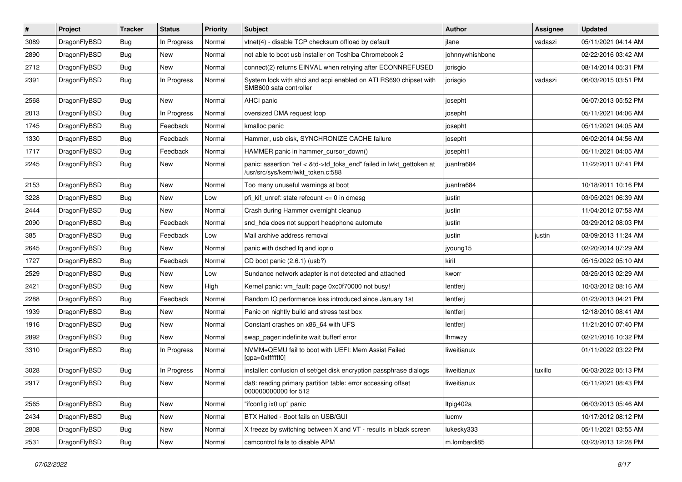| #    | Project      | <b>Tracker</b> | <b>Status</b> | <b>Priority</b> | Subject                                                                                                    | Author          | <b>Assignee</b> | <b>Updated</b>      |
|------|--------------|----------------|---------------|-----------------|------------------------------------------------------------------------------------------------------------|-----------------|-----------------|---------------------|
| 3089 | DragonFlyBSD | Bug            | In Progress   | Normal          | vtnet(4) - disable TCP checksum offload by default                                                         | jlane           | vadaszi         | 05/11/2021 04:14 AM |
| 2890 | DragonFlyBSD | Bug            | <b>New</b>    | Normal          | not able to boot usb installer on Toshiba Chromebook 2                                                     | johnnywhishbone |                 | 02/22/2016 03:42 AM |
| 2712 | DragonFlyBSD | <b>Bug</b>     | New           | Normal          | connect(2) returns EINVAL when retrying after ECONNREFUSED                                                 | jorisgio        |                 | 08/14/2014 05:31 PM |
| 2391 | DragonFlyBSD | Bug            | In Progress   | Normal          | System lock with ahci and acpi enabled on ATI RS690 chipset with<br>SMB600 sata controller                 | jorisgio        | vadaszi         | 06/03/2015 03:51 PM |
| 2568 | DragonFlyBSD | <b>Bug</b>     | New           | Normal          | AHCI panic                                                                                                 | josepht         |                 | 06/07/2013 05:52 PM |
| 2013 | DragonFlyBSD | <b>Bug</b>     | In Progress   | Normal          | oversized DMA request loop                                                                                 | josepht         |                 | 05/11/2021 04:06 AM |
| 1745 | DragonFlyBSD | <b>Bug</b>     | Feedback      | Normal          | kmalloc panic                                                                                              | josepht         |                 | 05/11/2021 04:05 AM |
| 1330 | DragonFlyBSD | Bug            | Feedback      | Normal          | Hammer, usb disk, SYNCHRONIZE CACHE failure                                                                | josepht         |                 | 06/02/2014 04:56 AM |
| 1717 | DragonFlyBSD | Bug            | Feedback      | Normal          | HAMMER panic in hammer_cursor_down()                                                                       | josepht1        |                 | 05/11/2021 04:05 AM |
| 2245 | DragonFlyBSD | <b>Bug</b>     | New           | Normal          | panic: assertion "ref < &td->td_toks_end" failed in lwkt_gettoken at<br>/usr/src/sys/kern/lwkt_token.c:588 | juanfra684      |                 | 11/22/2011 07:41 PM |
| 2153 | DragonFlyBSD | <b>Bug</b>     | New           | Normal          | Too many unuseful warnings at boot                                                                         | juanfra684      |                 | 10/18/2011 10:16 PM |
| 3228 | DragonFlyBSD | Bug            | <b>New</b>    | Low             | pfi_kif_unref: state refcount <= 0 in dmesg                                                                | justin          |                 | 03/05/2021 06:39 AM |
| 2444 | DragonFlyBSD | <b>Bug</b>     | New           | Normal          | Crash during Hammer overnight cleanup                                                                      | justin          |                 | 11/04/2012 07:58 AM |
| 2090 | DragonFlyBSD | <b>Bug</b>     | Feedback      | Normal          | snd_hda does not support headphone automute                                                                | justin          |                 | 03/29/2012 08:03 PM |
| 385  | DragonFlyBSD | Bug            | Feedback      | Low             | Mail archive address removal                                                                               | justin          | justin          | 03/09/2013 11:24 AM |
| 2645 | DragonFlyBSD | Bug            | New           | Normal          | panic with dsched fq and ioprio                                                                            | jyoung15        |                 | 02/20/2014 07:29 AM |
| 1727 | DragonFlyBSD | <b>Bug</b>     | Feedback      | Normal          | CD boot panic (2.6.1) (usb?)                                                                               | kiril           |                 | 05/15/2022 05:10 AM |
| 2529 | DragonFlyBSD | Bug            | <b>New</b>    | Low             | Sundance network adapter is not detected and attached                                                      | kworr           |                 | 03/25/2013 02:29 AM |
| 2421 | DragonFlyBSD | <b>Bug</b>     | New           | High            | Kernel panic: vm fault: page 0xc0f70000 not busy!                                                          | lentferj        |                 | 10/03/2012 08:16 AM |
| 2288 | DragonFlyBSD | Bug            | Feedback      | Normal          | Random IO performance loss introduced since January 1st                                                    | lentferj        |                 | 01/23/2013 04:21 PM |
| 1939 | DragonFlyBSD | <b>Bug</b>     | <b>New</b>    | Normal          | Panic on nightly build and stress test box                                                                 | lentferj        |                 | 12/18/2010 08:41 AM |
| 1916 | DragonFlyBSD | <b>Bug</b>     | New           | Normal          | Constant crashes on x86 64 with UFS                                                                        | lentferj        |                 | 11/21/2010 07:40 PM |
| 2892 | DragonFlyBSD | Bug            | <b>New</b>    | Normal          | swap_pager:indefinite wait bufferf error                                                                   | <b>Ihmwzy</b>   |                 | 02/21/2016 10:32 PM |
| 3310 | DragonFlyBSD | <b>Bug</b>     | In Progress   | Normal          | NVMM+QEMU fail to boot with UEFI: Mem Assist Failed<br>[gpa=0xfffffff0]                                    | liweitianux     |                 | 01/11/2022 03:22 PM |
| 3028 | DragonFlyBSD | <b>Bug</b>     | In Progress   | Normal          | installer: confusion of set/get disk encryption passphrase dialogs                                         | liweitianux     | tuxillo         | 06/03/2022 05:13 PM |
| 2917 | DragonFlyBSD | Bug            | New           | Normal          | da8: reading primary partition table: error accessing offset<br>000000000000 for 512                       | liweitianux     |                 | 05/11/2021 08:43 PM |
| 2565 | DragonFlyBSD | <b>Bug</b>     | New           | Normal          | "ifconfig ix0 up" panic                                                                                    | Itpig402a       |                 | 06/03/2013 05:46 AM |
| 2434 | DragonFlyBSD | <b>Bug</b>     | New           | Normal          | BTX Halted - Boot fails on USB/GUI                                                                         | lucmv           |                 | 10/17/2012 08:12 PM |
| 2808 | DragonFlyBSD | <b>Bug</b>     | New           | Normal          | X freeze by switching between X and VT - results in black screen                                           | lukesky333      |                 | 05/11/2021 03:55 AM |
| 2531 | DragonFlyBSD | <b>Bug</b>     | New           | Normal          | camcontrol fails to disable APM                                                                            | m.lombardi85    |                 | 03/23/2013 12:28 PM |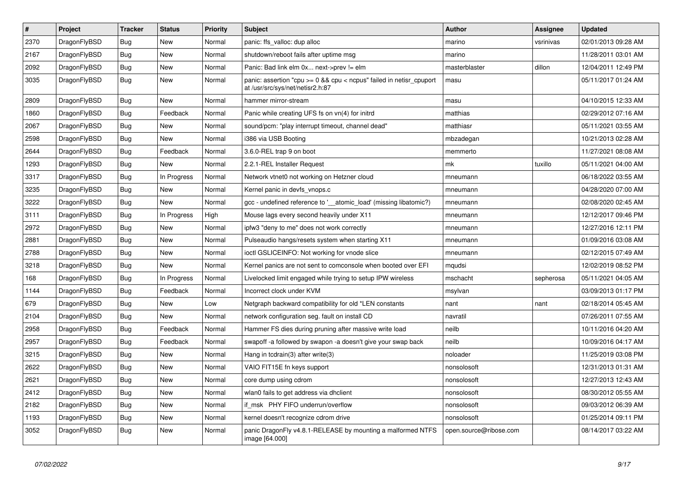| $\vert$ # | <b>Project</b> | <b>Tracker</b> | <b>Status</b> | <b>Priority</b> | <b>Subject</b>                                                                                            | Author                 | <b>Assignee</b> | <b>Updated</b>      |
|-----------|----------------|----------------|---------------|-----------------|-----------------------------------------------------------------------------------------------------------|------------------------|-----------------|---------------------|
| 2370      | DragonFlyBSD   | Bug            | New           | Normal          | panic: ffs valloc: dup alloc                                                                              | marino                 | vsrinivas       | 02/01/2013 09:28 AM |
| 2167      | DragonFlyBSD   | Bug            | New           | Normal          | shutdown/reboot fails after uptime msg                                                                    | marino                 |                 | 11/28/2011 03:01 AM |
| 2092      | DragonFlyBSD   | <b>Bug</b>     | New           | Normal          | Panic: Bad link elm 0x next->prev != elm                                                                  | masterblaster          | dillon          | 12/04/2011 12:49 PM |
| 3035      | DragonFlyBSD   | <b>Bug</b>     | New           | Normal          | panic: assertion "cpu $>= 0$ && cpu < ncpus" failed in netisr cpuport<br>at /usr/src/sys/net/netisr2.h:87 | masu                   |                 | 05/11/2017 01:24 AM |
| 2809      | DragonFlyBSD   | <b>Bug</b>     | <b>New</b>    | Normal          | hammer mirror-stream                                                                                      | masu                   |                 | 04/10/2015 12:33 AM |
| 1860      | DragonFlyBSD   | Bug            | Feedback      | Normal          | Panic while creating UFS fs on vn(4) for initrd                                                           | matthias               |                 | 02/29/2012 07:16 AM |
| 2067      | DragonFlyBSD   | <b>Bug</b>     | <b>New</b>    | Normal          | sound/pcm: "play interrupt timeout, channel dead"                                                         | matthiasr              |                 | 05/11/2021 03:55 AM |
| 2598      | DragonFlyBSD   | Bug            | <b>New</b>    | Normal          | i386 via USB Booting                                                                                      | mbzadegan              |                 | 10/21/2013 02:28 AM |
| 2644      | DragonFlyBSD   | Bug            | Feedback      | Normal          | 3.6.0-REL trap 9 on boot                                                                                  | memmerto               |                 | 11/27/2021 08:08 AM |
| 1293      | DragonFlyBSD   | <b>Bug</b>     | <b>New</b>    | Normal          | 2.2.1-REL Installer Request                                                                               | mk                     | tuxillo         | 05/11/2021 04:00 AM |
| 3317      | DragonFlyBSD   | <b>Bug</b>     | In Progress   | Normal          | Network vtnet0 not working on Hetzner cloud                                                               | mneumann               |                 | 06/18/2022 03:55 AM |
| 3235      | DragonFlyBSD   | <b>Bug</b>     | <b>New</b>    | Normal          | Kernel panic in devfs_vnops.c                                                                             | mneumann               |                 | 04/28/2020 07:00 AM |
| 3222      | DragonFlyBSD   | <b>Bug</b>     | <b>New</b>    | Normal          | gcc - undefined reference to '__atomic_load' (missing libatomic?)                                         | mneumann               |                 | 02/08/2020 02:45 AM |
| 3111      | DragonFlyBSD   | Bug            | In Progress   | High            | Mouse lags every second heavily under X11                                                                 | mneumann               |                 | 12/12/2017 09:46 PM |
| 2972      | DragonFlyBSD   | <b>Bug</b>     | <b>New</b>    | Normal          | ipfw3 "deny to me" does not work correctly                                                                | mneumann               |                 | 12/27/2016 12:11 PM |
| 2881      | DragonFlyBSD   | <b>Bug</b>     | <b>New</b>    | Normal          | Pulseaudio hangs/resets system when starting X11                                                          | mneumann               |                 | 01/09/2016 03:08 AM |
| 2788      | DragonFlyBSD   | <b>Bug</b>     | <b>New</b>    | Normal          | ioctl GSLICEINFO: Not working for vnode slice                                                             | mneumann               |                 | 02/12/2015 07:49 AM |
| 3218      | DragonFlyBSD   | <b>Bug</b>     | <b>New</b>    | Normal          | Kernel panics are not sent to comconsole when booted over EFI                                             | mqudsi                 |                 | 12/02/2019 08:52 PM |
| 168       | DragonFlyBSD   | <b>Bug</b>     | In Progress   | Normal          | Livelocked limit engaged while trying to setup IPW wireless                                               | mschacht               | sepherosa       | 05/11/2021 04:05 AM |
| 1144      | DragonFlyBSD   | <b>Bug</b>     | Feedback      | Normal          | Incorrect clock under KVM                                                                                 | msylvan                |                 | 03/09/2013 01:17 PM |
| 679       | DragonFlyBSD   | <b>Bug</b>     | <b>New</b>    | Low             | Netgraph backward compatibility for old *LEN constants                                                    | nant                   | nant            | 02/18/2014 05:45 AM |
| 2104      | DragonFlyBSD   | Bug            | New           | Normal          | network configuration seg. fault on install CD                                                            | navratil               |                 | 07/26/2011 07:55 AM |
| 2958      | DragonFlyBSD   | Bug            | Feedback      | Normal          | Hammer FS dies during pruning after massive write load                                                    | neilb                  |                 | 10/11/2016 04:20 AM |
| 2957      | DragonFlyBSD   | <b>Bug</b>     | Feedback      | Normal          | swapoff -a followed by swapon -a doesn't give your swap back                                              | neilb                  |                 | 10/09/2016 04:17 AM |
| 3215      | DragonFlyBSD   | <b>Bug</b>     | New           | Normal          | Hang in tcdrain(3) after write(3)                                                                         | noloader               |                 | 11/25/2019 03:08 PM |
| 2622      | DragonFlyBSD   | <b>Bug</b>     | <b>New</b>    | Normal          | VAIO FIT15E fn keys support                                                                               | nonsolosoft            |                 | 12/31/2013 01:31 AM |
| 2621      | DragonFlyBSD   | <b>Bug</b>     | <b>New</b>    | Normal          | core dump using cdrom                                                                                     | nonsolosoft            |                 | 12/27/2013 12:43 AM |
| 2412      | DragonFlyBSD   | <b>Bug</b>     | <b>New</b>    | Normal          | wlan0 fails to get address via dhclient                                                                   | nonsolosoft            |                 | 08/30/2012 05:55 AM |
| 2182      | DragonFlyBSD   | <b>Bug</b>     | <b>New</b>    | Normal          | if msk PHY FIFO underrun/overflow                                                                         | nonsolosoft            |                 | 09/03/2012 06:39 AM |
| 1193      | DragonFlyBSD   | Bug            | New           | Normal          | kernel doesn't recognize cdrom drive                                                                      | nonsolosoft            |                 | 01/25/2014 09:11 PM |
| 3052      | DragonFlyBSD   | Bug            | New           | Normal          | panic DragonFly v4.8.1-RELEASE by mounting a malformed NTFS<br>image [64.000]                             | open.source@ribose.com |                 | 08/14/2017 03:22 AM |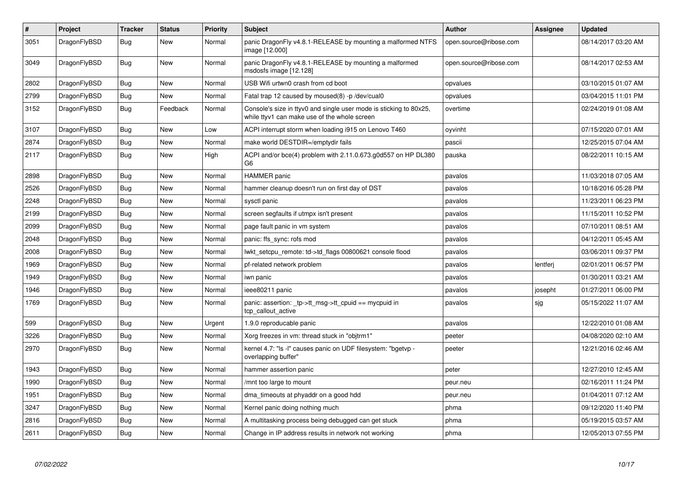| $\vert$ # | <b>Project</b> | <b>Tracker</b> | <b>Status</b> | <b>Priority</b> | <b>Subject</b>                                                                                                     | <b>Author</b>          | Assignee | <b>Updated</b>      |
|-----------|----------------|----------------|---------------|-----------------|--------------------------------------------------------------------------------------------------------------------|------------------------|----------|---------------------|
| 3051      | DragonFlyBSD   | <b>Bug</b>     | <b>New</b>    | Normal          | panic DragonFly v4.8.1-RELEASE by mounting a malformed NTFS<br>image [12.000]                                      | open.source@ribose.com |          | 08/14/2017 03:20 AM |
| 3049      | DragonFlyBSD   | <b>Bug</b>     | <b>New</b>    | Normal          | panic DragonFly v4.8.1-RELEASE by mounting a malformed<br>msdosfs image [12.128]                                   | open.source@ribose.com |          | 08/14/2017 02:53 AM |
| 2802      | DragonFlyBSD   | <b>Bug</b>     | <b>New</b>    | Normal          | USB Wifi urtwn0 crash from cd boot                                                                                 | opvalues               |          | 03/10/2015 01:07 AM |
| 2799      | DragonFlyBSD   | Bug            | <b>New</b>    | Normal          | Fatal trap 12 caused by moused(8) -p/dev/cual0                                                                     | opvalues               |          | 03/04/2015 11:01 PM |
| 3152      | DragonFlyBSD   | Bug            | Feedback      | Normal          | Console's size in ttyv0 and single user mode is sticking to 80x25,<br>while ttyv1 can make use of the whole screen | overtime               |          | 02/24/2019 01:08 AM |
| 3107      | DragonFlyBSD   | Bug            | <b>New</b>    | Low             | ACPI interrupt storm when loading i915 on Lenovo T460                                                              | oyvinht                |          | 07/15/2020 07:01 AM |
| 2874      | DragonFlyBSD   | <b>Bug</b>     | New           | Normal          | make world DESTDIR=/emptydir fails                                                                                 | pascii                 |          | 12/25/2015 07:04 AM |
| 2117      | DragonFlyBSD   | Bug            | New           | High            | ACPI and/or bce(4) problem with 2.11.0.673.g0d557 on HP DL380<br>G6                                                | pauska                 |          | 08/22/2011 10:15 AM |
| 2898      | DragonFlyBSD   | Bug            | New           | Normal          | <b>HAMMER</b> panic                                                                                                | pavalos                |          | 11/03/2018 07:05 AM |
| 2526      | DragonFlyBSD   | <b>Bug</b>     | New           | Normal          | hammer cleanup doesn't run on first day of DST                                                                     | pavalos                |          | 10/18/2016 05:28 PM |
| 2248      | DragonFlyBSD   | Bug            | New           | Normal          | sysctl panic                                                                                                       | pavalos                |          | 11/23/2011 06:23 PM |
| 2199      | DragonFlyBSD   | <b>Bug</b>     | New           | Normal          | screen segfaults if utmpx isn't present                                                                            | pavalos                |          | 11/15/2011 10:52 PM |
| 2099      | DragonFlyBSD   | Bug            | New           | Normal          | page fault panic in vm system                                                                                      | pavalos                |          | 07/10/2011 08:51 AM |
| 2048      | DragonFlyBSD   | <b>Bug</b>     | New           | Normal          | panic: ffs sync: rofs mod                                                                                          | pavalos                |          | 04/12/2011 05:45 AM |
| 2008      | DragonFlyBSD   | Bug            | New           | Normal          | lwkt setcpu remote: td->td flags 00800621 console flood                                                            | pavalos                |          | 03/06/2011 09:37 PM |
| 1969      | DragonFlyBSD   | <b>Bug</b>     | New           | Normal          | pf-related network problem                                                                                         | pavalos                | lentferj | 02/01/2011 06:57 PM |
| 1949      | DragonFlyBSD   | Bug            | New           | Normal          | iwn panic                                                                                                          | pavalos                |          | 01/30/2011 03:21 AM |
| 1946      | DragonFlyBSD   | <b>Bug</b>     | <b>New</b>    | Normal          | ieee80211 panic                                                                                                    | pavalos                | josepht  | 01/27/2011 06:00 PM |
| 1769      | DragonFlyBSD   | Bug            | <b>New</b>    | Normal          | panic: assertion: _tp->tt_msg->tt_cpuid == mycpuid in<br>tcp callout active                                        | pavalos                | sjg      | 05/15/2022 11:07 AM |
| 599       | DragonFlyBSD   | <b>Bug</b>     | <b>New</b>    | Urgent          | 1.9.0 reproducable panic                                                                                           | pavalos                |          | 12/22/2010 01:08 AM |
| 3226      | DragonFlyBSD   | <b>Bug</b>     | <b>New</b>    | Normal          | Xorg freezes in vm: thread stuck in "objtrm1"                                                                      | peeter                 |          | 04/08/2020 02:10 AM |
| 2970      | DragonFlyBSD   | <b>Bug</b>     | <b>New</b>    | Normal          | kernel 4.7: "Is -I" causes panic on UDF filesystem: "bgetvp -<br>overlapping buffer"                               | peeter                 |          | 12/21/2016 02:46 AM |
| 1943      | DragonFlyBSD   | Bug            | <b>New</b>    | Normal          | hammer assertion panic                                                                                             | peter                  |          | 12/27/2010 12:45 AM |
| 1990      | DragonFlyBSD   | <b>Bug</b>     | <b>New</b>    | Normal          | /mnt too large to mount                                                                                            | peur.neu               |          | 02/16/2011 11:24 PM |
| 1951      | DragonFlyBSD   | Bug            | <b>New</b>    | Normal          | dma_timeouts at phyaddr on a good hdd                                                                              | peur.neu               |          | 01/04/2011 07:12 AM |
| 3247      | DragonFlyBSD   | <b>Bug</b>     | New           | Normal          | Kernel panic doing nothing much                                                                                    | phma                   |          | 09/12/2020 11:40 PM |
| 2816      | DragonFlyBSD   | Bug            | <b>New</b>    | Normal          | A multitasking process being debugged can get stuck                                                                | phma                   |          | 05/19/2015 03:57 AM |
| 2611      | DragonFlyBSD   | <b>Bug</b>     | New           | Normal          | Change in IP address results in network not working                                                                | phma                   |          | 12/05/2013 07:55 PM |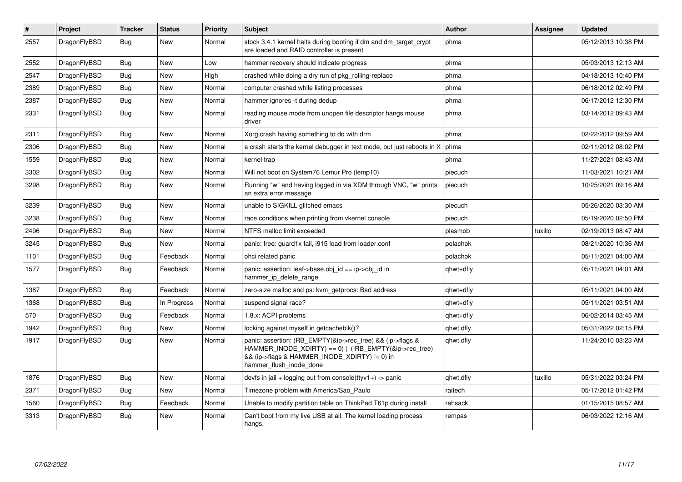| ∦    | Project      | <b>Tracker</b> | <b>Status</b> | <b>Priority</b> | <b>Subject</b>                                                                                                                                                                                    | <b>Author</b> | <b>Assignee</b> | <b>Updated</b>      |
|------|--------------|----------------|---------------|-----------------|---------------------------------------------------------------------------------------------------------------------------------------------------------------------------------------------------|---------------|-----------------|---------------------|
| 2557 | DragonFlyBSD | <b>Bug</b>     | New           | Normal          | stock 3.4.1 kernel halts during booting if dm and dm target crypt<br>are loaded and RAID controller is present                                                                                    | phma          |                 | 05/12/2013 10:38 PM |
| 2552 | DragonFlyBSD | <b>Bug</b>     | <b>New</b>    | Low             | hammer recovery should indicate progress                                                                                                                                                          | phma          |                 | 05/03/2013 12:13 AM |
| 2547 | DragonFlyBSD | Bug            | <b>New</b>    | High            | crashed while doing a dry run of pkg rolling-replace                                                                                                                                              | phma          |                 | 04/18/2013 10:40 PM |
| 2389 | DragonFlyBSD | <b>Bug</b>     | <b>New</b>    | Normal          | computer crashed while listing processes                                                                                                                                                          | phma          |                 | 06/18/2012 02:49 PM |
| 2387 | DragonFlyBSD | <b>Bug</b>     | <b>New</b>    | Normal          | hammer ignores -t during dedup                                                                                                                                                                    | phma          |                 | 06/17/2012 12:30 PM |
| 2331 | DragonFlyBSD | Bug            | New           | Normal          | reading mouse mode from unopen file descriptor hangs mouse<br>driver                                                                                                                              | phma          |                 | 03/14/2012 09:43 AM |
| 2311 | DragonFlyBSD | Bug            | <b>New</b>    | Normal          | Xorg crash having something to do with drm                                                                                                                                                        | phma          |                 | 02/22/2012 09:59 AM |
| 2306 | DragonFlyBSD | Bug            | <b>New</b>    | Normal          | a crash starts the kernel debugger in text mode, but just reboots in X                                                                                                                            | phma          |                 | 02/11/2012 08:02 PM |
| 1559 | DragonFlyBSD | Bug            | <b>New</b>    | Normal          | kernel trap                                                                                                                                                                                       | phma          |                 | 11/27/2021 08:43 AM |
| 3302 | DragonFlyBSD | <b>Bug</b>     | New           | Normal          | Will not boot on System76 Lemur Pro (lemp10)                                                                                                                                                      | piecuch       |                 | 11/03/2021 10:21 AM |
| 3298 | DragonFlyBSD | <b>Bug</b>     | <b>New</b>    | Normal          | Running "w" and having logged in via XDM through VNC, "w" prints<br>an extra error message                                                                                                        | piecuch       |                 | 10/25/2021 09:16 AM |
| 3239 | DragonFlyBSD | Bug            | <b>New</b>    | Normal          | unable to SIGKILL glitched emacs                                                                                                                                                                  | piecuch       |                 | 05/26/2020 03:30 AM |
| 3238 | DragonFlyBSD | Bug            | <b>New</b>    | Normal          | race conditions when printing from vkernel console                                                                                                                                                | piecuch       |                 | 05/19/2020 02:50 PM |
| 2496 | DragonFlyBSD | Bug            | <b>New</b>    | Normal          | NTFS malloc limit exceeded                                                                                                                                                                        | plasmob       | tuxillo         | 02/19/2013 08:47 AM |
| 3245 | DragonFlyBSD | Bug            | <b>New</b>    | Normal          | panic: free: guard1x fail, i915 load from loader.conf                                                                                                                                             | polachok      |                 | 08/21/2020 10:36 AM |
| 1101 | DragonFlyBSD | Bug            | Feedback      | Normal          | ohci related panic                                                                                                                                                                                | polachok      |                 | 05/11/2021 04:00 AM |
| 1577 | DragonFlyBSD | Bug            | Feedback      | Normal          | panic: assertion: leaf->base.obj id == ip->obj id in<br>hammer ip delete range                                                                                                                    | qhwt+dfly     |                 | 05/11/2021 04:01 AM |
| 1387 | DragonFlyBSD | Bug            | Feedback      | Normal          | zero-size malloc and ps: kvm getprocs: Bad address                                                                                                                                                | qhwt+dfly     |                 | 05/11/2021 04:00 AM |
| 1368 | DragonFlyBSD | <b>Bug</b>     | In Progress   | Normal          | suspend signal race?                                                                                                                                                                              | qhwt+dfly     |                 | 05/11/2021 03:51 AM |
| 570  | DragonFlyBSD | Bug            | Feedback      | Normal          | 1.8.x: ACPI problems                                                                                                                                                                              | qhwt+dfly     |                 | 06/02/2014 03:45 AM |
| 1942 | DragonFlyBSD | Bug            | <b>New</b>    | Normal          | locking against myself in getcacheblk()?                                                                                                                                                          | qhwt.dfly     |                 | 05/31/2022 02:15 PM |
| 1917 | DragonFlyBSD | <b>Bug</b>     | <b>New</b>    | Normal          | panic: assertion: (RB_EMPTY(&ip->rec_tree) && (ip->flags &<br>HAMMER INODE XDIRTY) == 0)    (!RB EMPTY(&ip->rec tree)<br>&& (ip->flags & HAMMER_INODE_XDIRTY) != 0) in<br>hammer flush inode done | qhwt.dfly     |                 | 11/24/2010 03:23 AM |
| 1876 | DragonFlyBSD | <b>Bug</b>     | <b>New</b>    | Normal          | devfs in jail + logging out from console(ttyv1+) -> panic                                                                                                                                         | qhwt.dfly     | tuxillo         | 05/31/2022 03:24 PM |
| 2371 | DragonFlyBSD | Bug            | <b>New</b>    | Normal          | Timezone problem with America/Sao Paulo                                                                                                                                                           | raitech       |                 | 05/17/2012 01:42 PM |
| 1560 | DragonFlyBSD | Bug            | Feedback      | Normal          | Unable to modify partition table on ThinkPad T61p during install                                                                                                                                  | rehsack       |                 | 01/15/2015 08:57 AM |
| 3313 | DragonFlyBSD | <b>Bug</b>     | New           | Normal          | Can't boot from my live USB at all. The kernel loading process<br>hangs.                                                                                                                          | rempas        |                 | 06/03/2022 12:16 AM |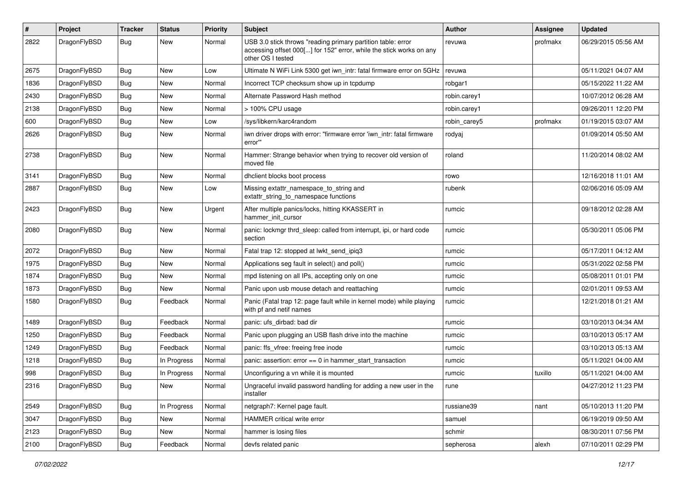| $\#$ | Project      | <b>Tracker</b> | <b>Status</b> | <b>Priority</b> | Subject                                                                                                                                                  | Author       | Assignee | <b>Updated</b>      |
|------|--------------|----------------|---------------|-----------------|----------------------------------------------------------------------------------------------------------------------------------------------------------|--------------|----------|---------------------|
| 2822 | DragonFlyBSD | Bug            | <b>New</b>    | Normal          | USB 3.0 stick throws "reading primary partition table: error<br>accessing offset 000[] for 152" error, while the stick works on any<br>other OS I tested | revuwa       | profmakx | 06/29/2015 05:56 AM |
| 2675 | DragonFlyBSD | <b>Bug</b>     | <b>New</b>    | Low             | Ultimate N WiFi Link 5300 get iwn_intr: fatal firmware error on 5GHz                                                                                     | revuwa       |          | 05/11/2021 04:07 AM |
| 1836 | DragonFlyBSD | <b>Bug</b>     | <b>New</b>    | Normal          | Incorrect TCP checksum show up in tcpdump                                                                                                                | robgar1      |          | 05/15/2022 11:22 AM |
| 2430 | DragonFlyBSD | <b>Bug</b>     | <b>New</b>    | Normal          | Alternate Password Hash method                                                                                                                           | robin.carey1 |          | 10/07/2012 06:28 AM |
| 2138 | DragonFlyBSD | Bug            | <b>New</b>    | Normal          | > 100% CPU usage                                                                                                                                         | robin.carey1 |          | 09/26/2011 12:20 PM |
| 600  | DragonFlyBSD | <b>Bug</b>     | <b>New</b>    | Low             | /sys/libkern/karc4random                                                                                                                                 | robin carey5 | profmakx | 01/19/2015 03:07 AM |
| 2626 | DragonFlyBSD | Bug            | <b>New</b>    | Normal          | iwn driver drops with error: "firmware error 'iwn intr: fatal firmware<br>error""                                                                        | rodyaj       |          | 01/09/2014 05:50 AM |
| 2738 | DragonFlyBSD | Bug            | <b>New</b>    | Normal          | Hammer: Strange behavior when trying to recover old version of<br>moved file                                                                             | roland       |          | 11/20/2014 08:02 AM |
| 3141 | DragonFlyBSD | <b>Bug</b>     | <b>New</b>    | Normal          | dhclient blocks boot process                                                                                                                             | rowo         |          | 12/16/2018 11:01 AM |
| 2887 | DragonFlyBSD | Bug            | <b>New</b>    | Low             | Missing extattr_namespace_to_string and<br>extattr_string_to_namespace functions                                                                         | rubenk       |          | 02/06/2016 05:09 AM |
| 2423 | DragonFlyBSD | Bug            | <b>New</b>    | Urgent          | After multiple panics/locks, hitting KKASSERT in<br>hammer_init_cursor                                                                                   | rumcic       |          | 09/18/2012 02:28 AM |
| 2080 | DragonFlyBSD | Bug            | <b>New</b>    | Normal          | panic: lockmgr thrd_sleep: called from interrupt, ipi, or hard code<br>section                                                                           | rumcic       |          | 05/30/2011 05:06 PM |
| 2072 | DragonFlyBSD | <b>Bug</b>     | <b>New</b>    | Normal          | Fatal trap 12: stopped at lwkt_send_ipiq3                                                                                                                | rumcic       |          | 05/17/2011 04:12 AM |
| 1975 | DragonFlyBSD | <b>Bug</b>     | <b>New</b>    | Normal          | Applications seg fault in select() and poll()                                                                                                            | rumcic       |          | 05/31/2022 02:58 PM |
| 1874 | DragonFlyBSD | Bug            | <b>New</b>    | Normal          | mpd listening on all IPs, accepting only on one                                                                                                          | rumcic       |          | 05/08/2011 01:01 PM |
| 1873 | DragonFlyBSD | <b>Bug</b>     | <b>New</b>    | Normal          | Panic upon usb mouse detach and reattaching                                                                                                              | rumcic       |          | 02/01/2011 09:53 AM |
| 1580 | DragonFlyBSD | <b>Bug</b>     | Feedback      | Normal          | Panic (Fatal trap 12: page fault while in kernel mode) while playing<br>with pf and netif names                                                          | rumcic       |          | 12/21/2018 01:21 AM |
| 1489 | DragonFlyBSD | Bug            | Feedback      | Normal          | panic: ufs dirbad: bad dir                                                                                                                               | rumcic       |          | 03/10/2013 04:34 AM |
| 1250 | DragonFlyBSD | <b>Bug</b>     | Feedback      | Normal          | Panic upon plugging an USB flash drive into the machine                                                                                                  | rumcic       |          | 03/10/2013 05:17 AM |
| 1249 | DragonFlyBSD | <b>Bug</b>     | Feedback      | Normal          | panic: ffs_vfree: freeing free inode                                                                                                                     | rumcic       |          | 03/10/2013 05:13 AM |
| 1218 | DragonFlyBSD | <b>Bug</b>     | In Progress   | Normal          | panic: assertion: $error == 0$ in hammer start transaction                                                                                               | rumcic       |          | 05/11/2021 04:00 AM |
| 998  | DragonFlyBSD | <b>Bug</b>     | In Progress   | Normal          | Unconfiguring a vn while it is mounted                                                                                                                   | rumcic       | tuxillo  | 05/11/2021 04:00 AM |
| 2316 | DragonFlyBSD | <b>Bug</b>     | New           | Normal          | Ungraceful invalid password handling for adding a new user in the<br>installer                                                                           | rune         |          | 04/27/2012 11:23 PM |
| 2549 | DragonFlyBSD | <b>Bug</b>     | In Progress   | Normal          | netgraph7: Kernel page fault.                                                                                                                            | russiane39   | nant     | 05/10/2013 11:20 PM |
| 3047 | DragonFlyBSD | <b>Bug</b>     | <b>New</b>    | Normal          | HAMMER critical write error                                                                                                                              | samuel       |          | 06/19/2019 09:50 AM |
| 2123 | DragonFlyBSD | <b>Bug</b>     | New           | Normal          | hammer is losing files                                                                                                                                   | schmir       |          | 08/30/2011 07:56 PM |
| 2100 | DragonFlyBSD | <b>Bug</b>     | Feedback      | Normal          | devfs related panic                                                                                                                                      | sepherosa    | alexh    | 07/10/2011 02:29 PM |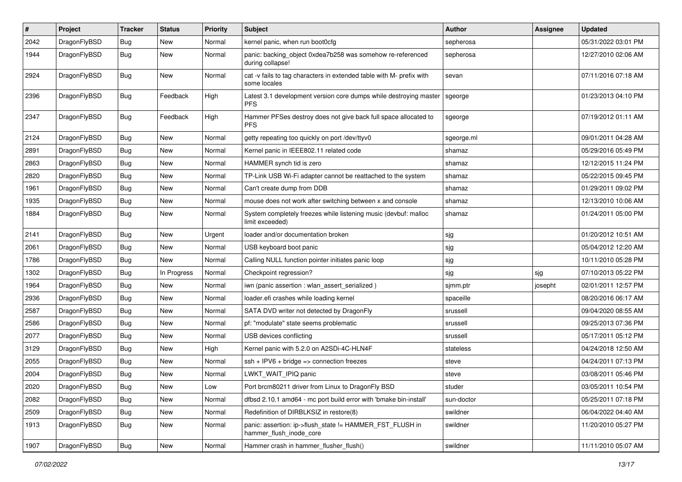| #    | Project      | <b>Tracker</b> | <b>Status</b> | <b>Priority</b> | Subject                                                                              | <b>Author</b> | Assignee | <b>Updated</b>      |
|------|--------------|----------------|---------------|-----------------|--------------------------------------------------------------------------------------|---------------|----------|---------------------|
| 2042 | DragonFlyBSD | Bug            | <b>New</b>    | Normal          | kernel panic, when run boot0cfg                                                      | sepherosa     |          | 05/31/2022 03:01 PM |
| 1944 | DragonFlyBSD | <b>Bug</b>     | <b>New</b>    | Normal          | panic: backing_object 0xdea7b258 was somehow re-referenced<br>during collapse!       | sepherosa     |          | 12/27/2010 02:06 AM |
| 2924 | DragonFlyBSD | Bug            | New           | Normal          | cat -v fails to tag characters in extended table with M- prefix with<br>some locales | sevan         |          | 07/11/2016 07:18 AM |
| 2396 | DragonFlyBSD | <b>Bug</b>     | Feedback      | High            | Latest 3.1 development version core dumps while destroying master<br><b>PFS</b>      | sgeorge       |          | 01/23/2013 04:10 PM |
| 2347 | DragonFlyBSD | Bug            | Feedback      | High            | Hammer PFSes destroy does not give back full space allocated to<br><b>PFS</b>        | sgeorge       |          | 07/19/2012 01:11 AM |
| 2124 | DragonFlyBSD | Bug            | <b>New</b>    | Normal          | getty repeating too quickly on port /dev/ttyv0                                       | sgeorge.ml    |          | 09/01/2011 04:28 AM |
| 2891 | DragonFlyBSD | Bug            | New           | Normal          | Kernel panic in IEEE802.11 related code                                              | shamaz        |          | 05/29/2016 05:49 PM |
| 2863 | DragonFlyBSD | Bug            | New           | Normal          | HAMMER synch tid is zero                                                             | shamaz        |          | 12/12/2015 11:24 PM |
| 2820 | DragonFlyBSD | Bug            | <b>New</b>    | Normal          | TP-Link USB Wi-Fi adapter cannot be reattached to the system                         | shamaz        |          | 05/22/2015 09:45 PM |
| 1961 | DragonFlyBSD | Bug            | New           | Normal          | Can't create dump from DDB                                                           | shamaz        |          | 01/29/2011 09:02 PM |
| 1935 | DragonFlyBSD | Bug            | <b>New</b>    | Normal          | mouse does not work after switching between x and console                            | shamaz        |          | 12/13/2010 10:06 AM |
| 1884 | DragonFlyBSD | Bug            | New           | Normal          | System completely freezes while listening music (devbuf: malloc<br>limit exceeded)   | shamaz        |          | 01/24/2011 05:00 PM |
| 2141 | DragonFlyBSD | Bug            | New           | Urgent          | loader and/or documentation broken                                                   | sjg           |          | 01/20/2012 10:51 AM |
| 2061 | DragonFlyBSD | Bug            | <b>New</b>    | Normal          | USB keyboard boot panic                                                              | sjg           |          | 05/04/2012 12:20 AM |
| 1786 | DragonFlyBSD | Bug            | New           | Normal          | Calling NULL function pointer initiates panic loop                                   | sjg           |          | 10/11/2010 05:28 PM |
| 1302 | DragonFlyBSD | Bug            | In Progress   | Normal          | Checkpoint regression?                                                               | sjg           | sjg      | 07/10/2013 05:22 PM |
| 1964 | DragonFlyBSD | Bug            | <b>New</b>    | Normal          | iwn (panic assertion : wlan_assert_serialized)                                       | sjmm.ptr      | josepht  | 02/01/2011 12:57 PM |
| 2936 | DragonFlyBSD | Bug            | New           | Normal          | loader.efi crashes while loading kernel                                              | spaceille     |          | 08/20/2016 06:17 AM |
| 2587 | DragonFlyBSD | Bug            | New           | Normal          | SATA DVD writer not detected by DragonFly                                            | srussell      |          | 09/04/2020 08:55 AM |
| 2586 | DragonFlyBSD | Bug            | New           | Normal          | pf: "modulate" state seems problematic                                               | srussell      |          | 09/25/2013 07:36 PM |
| 2077 | DragonFlyBSD | Bug            | New           | Normal          | USB devices conflicting                                                              | srussell      |          | 05/17/2011 05:12 PM |
| 3129 | DragonFlyBSD | Bug            | New           | High            | Kernel panic with 5.2.0 on A2SDi-4C-HLN4F                                            | stateless     |          | 04/24/2018 12:50 AM |
| 2055 | DragonFlyBSD | Bug            | <b>New</b>    | Normal          | $ssh + IPV6 + bridge \Rightarrow connection freezes$                                 | steve         |          | 04/24/2011 07:13 PM |
| 2004 | DragonFlyBSD | <b>Bug</b>     | New           | Normal          | LWKT_WAIT_IPIQ panic                                                                 | steve         |          | 03/08/2011 05:46 PM |
| 2020 | DragonFlyBSD | <b>Bug</b>     | New           | Low             | Port brcm80211 driver from Linux to DragonFly BSD                                    | studer        |          | 03/05/2011 10:54 PM |
| 2082 | DragonFlyBSD | <b>Bug</b>     | <b>New</b>    | Normal          | dfbsd 2.10.1 amd64 - mc port build error with 'bmake bin-install'                    | sun-doctor    |          | 05/25/2011 07:18 PM |
| 2509 | DragonFlyBSD | <b>Bug</b>     | New           | Normal          | Redefinition of DIRBLKSIZ in restore(8)                                              | swildner      |          | 06/04/2022 04:40 AM |
| 1913 | DragonFlyBSD | Bug            | New           | Normal          | panic: assertion: ip->flush_state != HAMMER_FST_FLUSH in<br>hammer flush inode core  | swildner      |          | 11/20/2010 05:27 PM |
| 1907 | DragonFlyBSD | Bug            | New           | Normal          | Hammer crash in hammer_flusher_flush()                                               | swildner      |          | 11/11/2010 05:07 AM |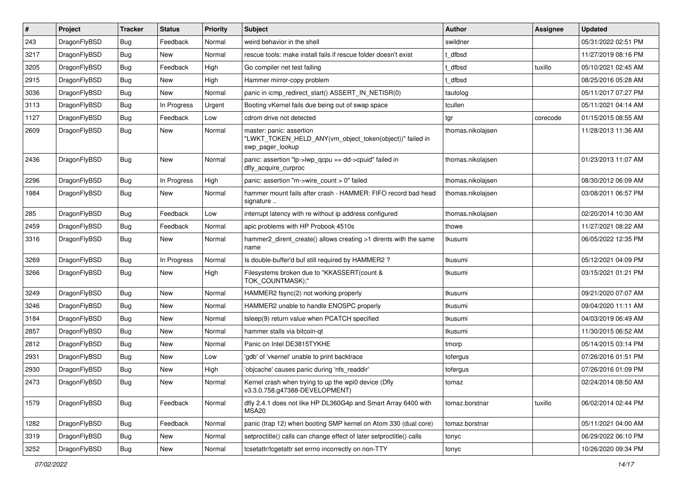| $\vert$ # | Project      | <b>Tracker</b> | <b>Status</b> | <b>Priority</b> | <b>Subject</b>                                                                                           | Author            | Assignee | <b>Updated</b>      |
|-----------|--------------|----------------|---------------|-----------------|----------------------------------------------------------------------------------------------------------|-------------------|----------|---------------------|
| 243       | DragonFlyBSD | <b>Bug</b>     | Feedback      | Normal          | weird behavior in the shell                                                                              | swildner          |          | 05/31/2022 02:51 PM |
| 3217      | DragonFlyBSD | Bug            | <b>New</b>    | Normal          | rescue tools: make install fails if rescue folder doesn't exist                                          | t dfbsd           |          | 11/27/2019 08:16 PM |
| 3205      | DragonFlyBSD | <b>Bug</b>     | Feedback      | High            | Go compiler net test failing                                                                             | t dfbsd           | tuxillo  | 05/10/2021 02:45 AM |
| 2915      | DragonFlyBSD | Bug            | <b>New</b>    | High            | Hammer mirror-copy problem                                                                               | t dfbsd           |          | 08/25/2016 05:28 AM |
| 3036      | DragonFlyBSD | Bug            | <b>New</b>    | Normal          | panic in icmp_redirect_start() ASSERT_IN_NETISR(0)                                                       | tautolog          |          | 05/11/2017 07:27 PM |
| 3113      | DragonFlyBSD | <b>Bug</b>     | In Progress   | Urgent          | Booting vKernel fails due being out of swap space                                                        | tcullen           |          | 05/11/2021 04:14 AM |
| 1127      | DragonFlyBSD | Bug            | Feedback      | Low             | cdrom drive not detected                                                                                 | tgr               | corecode | 01/15/2015 08:55 AM |
| 2609      | DragonFlyBSD | Bug            | New           | Normal          | master: panic: assertion<br>"LWKT_TOKEN_HELD_ANY(vm_object_token(object))" failed in<br>swp_pager_lookup | thomas.nikolaisen |          | 11/28/2013 11:36 AM |
| 2436      | DragonFlyBSD | <b>Bug</b>     | New           | Normal          | panic: assertion "lp->lwp_qcpu == dd->cpuid" failed in<br>dfly_acquire_curproc                           | thomas.nikolajsen |          | 01/23/2013 11:07 AM |
| 2296      | DragonFlyBSD | Bug            | In Progress   | High            | panic: assertion "m->wire count > 0" failed                                                              | thomas.nikolajsen |          | 08/30/2012 06:09 AM |
| 1984      | DragonFlyBSD | <b>Bug</b>     | New           | Normal          | hammer mount fails after crash - HAMMER: FIFO record bad head<br>signature                               | thomas.nikolaisen |          | 03/08/2011 06:57 PM |
| 285       | DragonFlyBSD | Bug            | Feedback      | Low             | interrupt latency with re without ip address configured                                                  | thomas.nikolajsen |          | 02/20/2014 10:30 AM |
| 2459      | DragonFlyBSD | Bug            | Feedback      | Normal          | apic problems with HP Probook 4510s                                                                      | thowe             |          | 11/27/2021 08:22 AM |
| 3316      | DragonFlyBSD | Bug            | New           | Normal          | hammer2 dirent create() allows creating >1 dirents with the same<br>name                                 | tkusumi           |          | 06/05/2022 12:35 PM |
| 3269      | DragonFlyBSD | Bug            | In Progress   | Normal          | Is double-buffer'd buf still required by HAMMER2 ?                                                       | tkusumi           |          | 05/12/2021 04:09 PM |
| 3266      | DragonFlyBSD | Bug            | New           | High            | Filesystems broken due to "KKASSERT(count &<br>TOK_COUNTMASK);"                                          | tkusumi           |          | 03/15/2021 01:21 PM |
| 3249      | DragonFlyBSD | Bug            | <b>New</b>    | Normal          | HAMMER2 fsync(2) not working properly                                                                    | tkusumi           |          | 09/21/2020 07:07 AM |
| 3246      | DragonFlyBSD | Bug            | <b>New</b>    | Normal          | HAMMER2 unable to handle ENOSPC properly                                                                 | tkusumi           |          | 09/04/2020 11:11 AM |
| 3184      | DragonFlyBSD | <b>Bug</b>     | New           | Normal          | tsleep(9) return value when PCATCH specified                                                             | tkusumi           |          | 04/03/2019 06:49 AM |
| 2857      | DragonFlyBSD | Bug            | <b>New</b>    | Normal          | hammer stalls via bitcoin-qt                                                                             | tkusumi           |          | 11/30/2015 06:52 AM |
| 2812      | DragonFlyBSD | <b>Bug</b>     | New           | Normal          | Panic on Intel DE3815TYKHE                                                                               | tmorp             |          | 05/14/2015 03:14 PM |
| 2931      | DragonFlyBSD | <b>Bug</b>     | <b>New</b>    | Low             | 'gdb' of 'vkernel' unable to print backtrace                                                             | tofergus          |          | 07/26/2016 01:51 PM |
| 2930      | DragonFlyBSD | Bug            | <b>New</b>    | High            | 'objcache' causes panic during 'nfs_readdir'                                                             | tofergus          |          | 07/26/2016 01:09 PM |
| 2473      | DragonFlyBSD | i Bug          | New           | Normal          | Kernel crash when trying to up the wpi0 device (Dfly<br>v3.3.0.758.g47388-DEVELOPMENT)                   | tomaz             |          | 02/24/2014 08:50 AM |
| 1579      | DragonFlyBSD | <b>Bug</b>     | Feedback      | Normal          | dfly 2.4.1 does not like HP DL360G4p and Smart Array 6400 with<br>MSA20                                  | tomaz.borstnar    | tuxillo  | 06/02/2014 02:44 PM |
| 1282      | DragonFlyBSD | <b>Bug</b>     | Feedback      | Normal          | panic (trap 12) when booting SMP kernel on Atom 330 (dual core)                                          | tomaz.borstnar    |          | 05/11/2021 04:00 AM |
| 3319      | DragonFlyBSD | <b>Bug</b>     | New           | Normal          | setproctitle() calls can change effect of later setproctitle() calls                                     | tonyc             |          | 06/29/2022 06:10 PM |
| 3252      | DragonFlyBSD | Bug            | New           | Normal          | tcsetattr/tcgetattr set errno incorrectly on non-TTY                                                     | tonyc             |          | 10/26/2020 09:34 PM |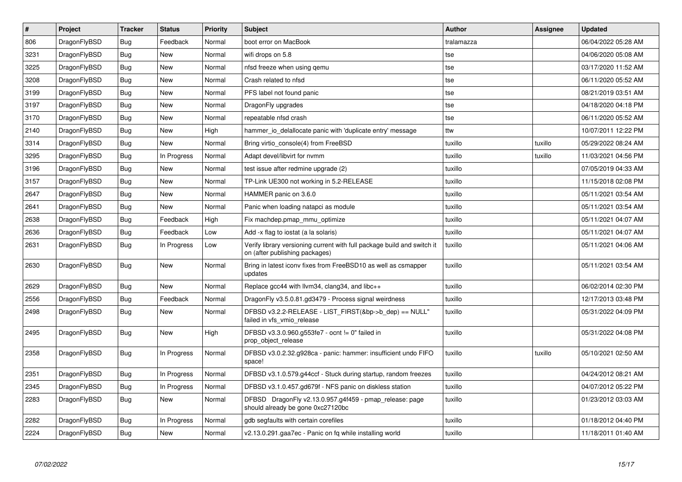| $\vert$ # | <b>Project</b> | <b>Tracker</b> | <b>Status</b> | <b>Priority</b> | <b>Subject</b>                                                                                            | Author     | Assignee | <b>Updated</b>      |
|-----------|----------------|----------------|---------------|-----------------|-----------------------------------------------------------------------------------------------------------|------------|----------|---------------------|
| 806       | DragonFlyBSD   | Bug            | Feedback      | Normal          | boot error on MacBook                                                                                     | tralamazza |          | 06/04/2022 05:28 AM |
| 3231      | DragonFlyBSD   | <b>Bug</b>     | <b>New</b>    | Normal          | wifi drops on 5.8                                                                                         | tse        |          | 04/06/2020 05:08 AM |
| 3225      | DragonFlyBSD   | <b>Bug</b>     | <b>New</b>    | Normal          | nfsd freeze when using qemu                                                                               | tse        |          | 03/17/2020 11:52 AM |
| 3208      | DragonFlyBSD   | Bug            | <b>New</b>    | Normal          | Crash related to nfsd                                                                                     | tse        |          | 06/11/2020 05:52 AM |
| 3199      | DragonFlyBSD   | <b>Bug</b>     | <b>New</b>    | Normal          | PFS label not found panic                                                                                 | tse        |          | 08/21/2019 03:51 AM |
| 3197      | DragonFlyBSD   | <b>Bug</b>     | <b>New</b>    | Normal          | DragonFly upgrades                                                                                        | tse        |          | 04/18/2020 04:18 PM |
| 3170      | DragonFlyBSD   | <b>Bug</b>     | New           | Normal          | repeatable nfsd crash                                                                                     | tse        |          | 06/11/2020 05:52 AM |
| 2140      | DragonFlyBSD   | <b>Bug</b>     | New           | High            | hammer io delallocate panic with 'duplicate entry' message                                                | ttw        |          | 10/07/2011 12:22 PM |
| 3314      | DragonFlyBSD   | <b>Bug</b>     | <b>New</b>    | Normal          | Bring virtio_console(4) from FreeBSD                                                                      | tuxillo    | tuxillo  | 05/29/2022 08:24 AM |
| 3295      | DragonFlyBSD   | Bug            | In Progress   | Normal          | Adapt devel/libvirt for nvmm                                                                              | tuxillo    | tuxillo  | 11/03/2021 04:56 PM |
| 3196      | DragonFlyBSD   | <b>Bug</b>     | New           | Normal          | test issue after redmine upgrade (2)                                                                      | tuxillo    |          | 07/05/2019 04:33 AM |
| 3157      | DragonFlyBSD   | Bug            | New           | Normal          | TP-Link UE300 not working in 5.2-RELEASE                                                                  | tuxillo    |          | 11/15/2018 02:08 PM |
| 2647      | DragonFlyBSD   | <b>Bug</b>     | <b>New</b>    | Normal          | HAMMER panic on 3.6.0                                                                                     | tuxillo    |          | 05/11/2021 03:54 AM |
| 2641      | DragonFlyBSD   | Bug            | New           | Normal          | Panic when loading natapci as module                                                                      | tuxillo    |          | 05/11/2021 03:54 AM |
| 2638      | DragonFlyBSD   | <b>Bug</b>     | Feedback      | High            | Fix machdep.pmap_mmu_optimize                                                                             | tuxillo    |          | 05/11/2021 04:07 AM |
| 2636      | DragonFlyBSD   | Bug            | Feedback      | Low             | Add -x flag to iostat (a la solaris)                                                                      | tuxillo    |          | 05/11/2021 04:07 AM |
| 2631      | DragonFlyBSD   | <b>Bug</b>     | In Progress   | Low             | Verify library versioning current with full package build and switch it<br>on (after publishing packages) | tuxillo    |          | 05/11/2021 04:06 AM |
| 2630      | DragonFlyBSD   | <b>Bug</b>     | <b>New</b>    | Normal          | Bring in latest iconv fixes from FreeBSD10 as well as csmapper<br>updates                                 | tuxillo    |          | 05/11/2021 03:54 AM |
| 2629      | DragonFlyBSD   | Bug            | New           | Normal          | Replace gcc44 with llvm34, clang34, and libc++                                                            | tuxillo    |          | 06/02/2014 02:30 PM |
| 2556      | DragonFlyBSD   | Bug            | Feedback      | Normal          | DragonFly v3.5.0.81.gd3479 - Process signal weirdness                                                     | tuxillo    |          | 12/17/2013 03:48 PM |
| 2498      | DragonFlyBSD   | <b>Bug</b>     | New           | Normal          | DFBSD v3.2.2-RELEASE - LIST_FIRST(&bp->b_dep) == NULL"<br>failed in vfs vmio release                      | tuxillo    |          | 05/31/2022 04:09 PM |
| 2495      | DragonFlyBSD   | <b>Bug</b>     | <b>New</b>    | High            | DFBSD v3.3.0.960.g553fe7 - ocnt != 0" failed in<br>prop object release                                    | tuxillo    |          | 05/31/2022 04:08 PM |
| 2358      | DragonFlyBSD   | <b>Bug</b>     | In Progress   | Normal          | DFBSD v3.0.2.32.g928ca - panic: hammer: insufficient undo FIFO<br>space!                                  | tuxillo    | tuxillo  | 05/10/2021 02:50 AM |
| 2351      | DragonFlyBSD   | <b>Bug</b>     | In Progress   | Normal          | DFBSD v3.1.0.579.g44ccf - Stuck during startup, random freezes                                            | tuxillo    |          | 04/24/2012 08:21 AM |
| 2345      | DragonFlyBSD   | Bug            | In Progress   | Normal          | DFBSD v3.1.0.457.gd679f - NFS panic on diskless station                                                   | tuxillo    |          | 04/07/2012 05:22 PM |
| 2283      | DragonFlyBSD   | Bug            | New           | Normal          | DFBSD DragonFly v2.13.0.957.g4f459 - pmap_release: page<br>should already be gone 0xc27120bc              | tuxillo    |          | 01/23/2012 03:03 AM |
| 2282      | DragonFlyBSD   | Bug            | In Progress   | Normal          | gdb segfaults with certain corefiles                                                                      | tuxillo    |          | 01/18/2012 04:40 PM |
| 2224      | DragonFlyBSD   | <b>Bug</b>     | New           | Normal          | v2.13.0.291.gaa7ec - Panic on fq while installing world                                                   | tuxillo    |          | 11/18/2011 01:40 AM |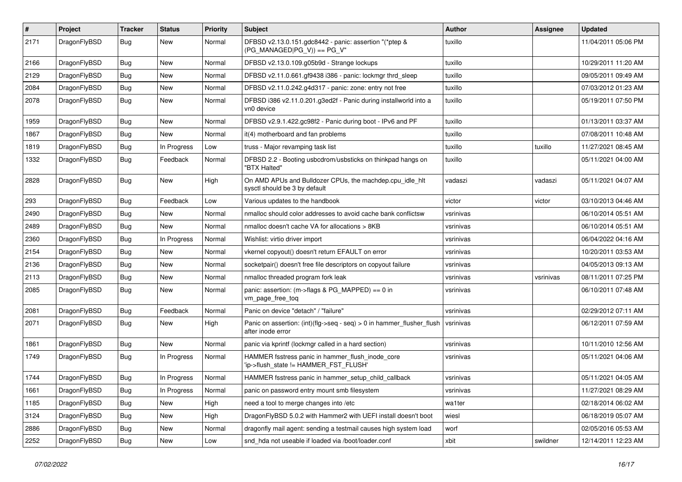| #    | Project      | <b>Tracker</b> | <b>Status</b> | <b>Priority</b> | <b>Subject</b>                                                                                | Author    | Assignee  | <b>Updated</b>      |
|------|--------------|----------------|---------------|-----------------|-----------------------------------------------------------------------------------------------|-----------|-----------|---------------------|
| 2171 | DragonFlyBSD | Bug            | New           | Normal          | DFBSD v2.13.0.151.gdc8442 - panic: assertion "(*ptep &<br>$(PG_MANAGED PG_V)$ == PG_V"        | tuxillo   |           | 11/04/2011 05:06 PM |
| 2166 | DragonFlyBSD | <b>Bug</b>     | <b>New</b>    | Normal          | DFBSD v2.13.0.109.g05b9d - Strange lockups                                                    | tuxillo   |           | 10/29/2011 11:20 AM |
| 2129 | DragonFlyBSD | Bug            | <b>New</b>    | Normal          | DFBSD v2.11.0.661.gf9438 i386 - panic: lockmgr thrd sleep                                     | tuxillo   |           | 09/05/2011 09:49 AM |
| 2084 | DragonFlyBSD | <b>Bug</b>     | New           | Normal          | DFBSD v2.11.0.242.g4d317 - panic: zone: entry not free                                        | tuxillo   |           | 07/03/2012 01:23 AM |
| 2078 | DragonFlyBSD | <b>Bug</b>     | New           | Normal          | DFBSD i386 v2.11.0.201.g3ed2f - Panic during installworld into a<br>vn0 device                | tuxillo   |           | 05/19/2011 07:50 PM |
| 1959 | DragonFlyBSD | <b>Bug</b>     | New           | Normal          | DFBSD v2.9.1.422.gc98f2 - Panic during boot - IPv6 and PF                                     | tuxillo   |           | 01/13/2011 03:37 AM |
| 1867 | DragonFlyBSD | <b>Bug</b>     | New           | Normal          | it(4) motherboard and fan problems                                                            | tuxillo   |           | 07/08/2011 10:48 AM |
| 1819 | DragonFlyBSD | <b>Bug</b>     | In Progress   | Low             | truss - Major revamping task list                                                             | tuxillo   | tuxillo   | 11/27/2021 08:45 AM |
| 1332 | DragonFlyBSD | <b>Bug</b>     | Feedback      | Normal          | DFBSD 2.2 - Booting usbcdrom/usbsticks on thinkpad hangs on<br>"BTX Halted"                   | tuxillo   |           | 05/11/2021 04:00 AM |
| 2828 | DragonFlyBSD | <b>Bug</b>     | New           | High            | On AMD APUs and Bulldozer CPUs, the machdep.cpu_idle_hlt<br>sysctl should be 3 by default     | vadaszi   | vadaszi   | 05/11/2021 04:07 AM |
| 293  | DragonFlyBSD | <b>Bug</b>     | Feedback      | Low             | Various updates to the handbook                                                               | victor    | victor    | 03/10/2013 04:46 AM |
| 2490 | DragonFlyBSD | <b>Bug</b>     | New           | Normal          | nmalloc should color addresses to avoid cache bank conflictsw                                 | vsrinivas |           | 06/10/2014 05:51 AM |
| 2489 | DragonFlyBSD | <b>Bug</b>     | New           | Normal          | nmalloc doesn't cache VA for allocations > 8KB                                                | vsrinivas |           | 06/10/2014 05:51 AM |
| 2360 | DragonFlyBSD | <b>Bug</b>     | In Progress   | Normal          | Wishlist: virtio driver import                                                                | vsrinivas |           | 06/04/2022 04:16 AM |
| 2154 | DragonFlyBSD | <b>Bug</b>     | New           | Normal          | vkernel copyout() doesn't return EFAULT on error                                              | vsrinivas |           | 10/20/2011 03:53 AM |
| 2136 | DragonFlyBSD | Bug            | <b>New</b>    | Normal          | socketpair() doesn't free file descriptors on copyout failure                                 | vsrinivas |           | 04/05/2013 09:13 AM |
| 2113 | DragonFlyBSD | <b>Bug</b>     | New           | Normal          | nmalloc threaded program fork leak                                                            | vsrinivas | vsrinivas | 08/11/2011 07:25 PM |
| 2085 | DragonFlyBSD | Bug            | New           | Normal          | panic: assertion: (m->flags & PG_MAPPED) == 0 in<br>vm_page_free_toq                          | vsrinivas |           | 06/10/2011 07:48 AM |
| 2081 | DragonFlyBSD | Bug            | Feedback      | Normal          | Panic on device "detach" / "failure"                                                          | vsrinivas |           | 02/29/2012 07:11 AM |
| 2071 | DragonFlyBSD | Bug            | New           | High            | Panic on assertion: $(int)(flag->seq - seq) > 0$ in hammer flusher flush<br>after inode error | vsrinivas |           | 06/12/2011 07:59 AM |
| 1861 | DragonFlyBSD | Bug            | New           | Normal          | panic via kprintf (lockmgr called in a hard section)                                          | vsrinivas |           | 10/11/2010 12:56 AM |
| 1749 | DragonFlyBSD | Bug            | In Progress   | Normal          | HAMMER fsstress panic in hammer_flush_inode_core<br>'ip->flush state != HAMMER FST FLUSH'     | vsrinivas |           | 05/11/2021 04:06 AM |
| 1744 | DragonFlyBSD | <b>Bug</b>     | In Progress   | Normal          | HAMMER fsstress panic in hammer setup child callback                                          | vsrinivas |           | 05/11/2021 04:05 AM |
| 1661 | DragonFlyBSD | Bug            | In Progress   | Normal          | panic on password entry mount smb filesystem                                                  | vsrinivas |           | 11/27/2021 08:29 AM |
| 1185 | DragonFlyBSD | Bug            | New           | High            | need a tool to merge changes into /etc                                                        | wa1ter    |           | 02/18/2014 06:02 AM |
| 3124 | DragonFlyBSD | <b>Bug</b>     | New           | High            | DragonFlyBSD 5.0.2 with Hammer2 with UEFI install doesn't boot                                | wiesl     |           | 06/18/2019 05:07 AM |
| 2886 | DragonFlyBSD | <b>Bug</b>     | New           | Normal          | dragonfly mail agent: sending a testmail causes high system load                              | worf      |           | 02/05/2016 05:53 AM |
| 2252 | DragonFlyBSD | Bug            | New           | Low             | snd_hda not useable if loaded via /boot/loader.conf                                           | xbit      | swildner  | 12/14/2011 12:23 AM |